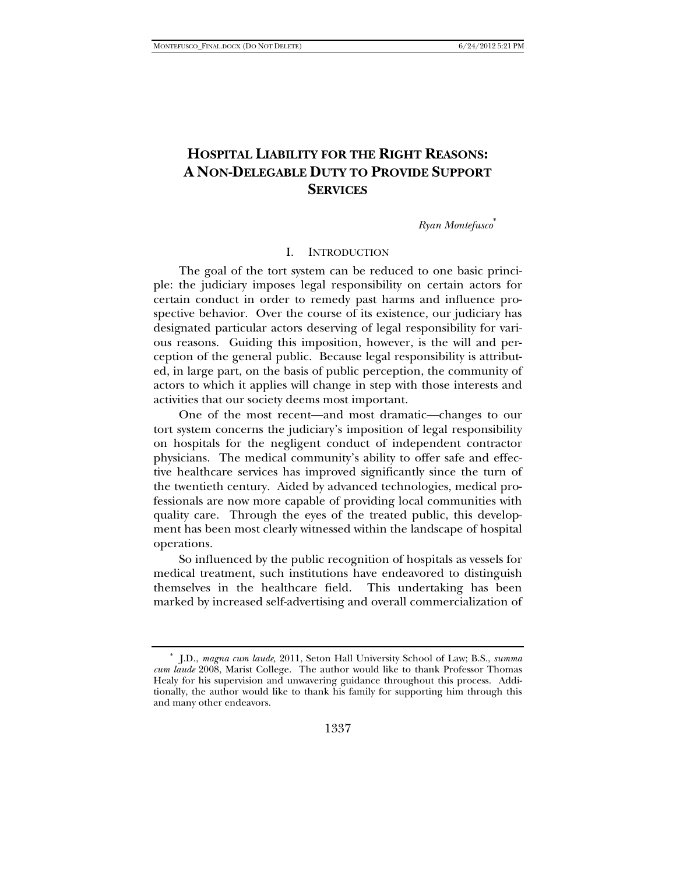# **HOSPITAL LIABILITY FOR THE RIGHT REASONS: A NON-DELEGABLE DUTY TO PROVIDE SUPPORT SERVICES**

*Ryan Montefusco*<sup>∗</sup>

## I. INTRODUCTION

The goal of the tort system can be reduced to one basic principle: the judiciary imposes legal responsibility on certain actors for certain conduct in order to remedy past harms and influence prospective behavior. Over the course of its existence, our judiciary has designated particular actors deserving of legal responsibility for various reasons. Guiding this imposition, however, is the will and perception of the general public. Because legal responsibility is attributed, in large part, on the basis of public perception, the community of actors to which it applies will change in step with those interests and activities that our society deems most important.

One of the most recent—and most dramatic—changes to our tort system concerns the judiciary's imposition of legal responsibility on hospitals for the negligent conduct of independent contractor physicians. The medical community's ability to offer safe and effective healthcare services has improved significantly since the turn of the twentieth century. Aided by advanced technologies, medical professionals are now more capable of providing local communities with quality care. Through the eyes of the treated public, this development has been most clearly witnessed within the landscape of hospital operations.

So influenced by the public recognition of hospitals as vessels for medical treatment, such institutions have endeavored to distinguish themselves in the healthcare field. This undertaking has been marked by increased self-advertising and overall commercialization of

<sup>∗</sup> J.D., *magna cum laude,* 2011, Seton Hall University School of Law; B.S., *summa cum laude* 2008, Marist College. The author would like to thank Professor Thomas Healy for his supervision and unwavering guidance throughout this process. Additionally, the author would like to thank his family for supporting him through this and many other endeavors.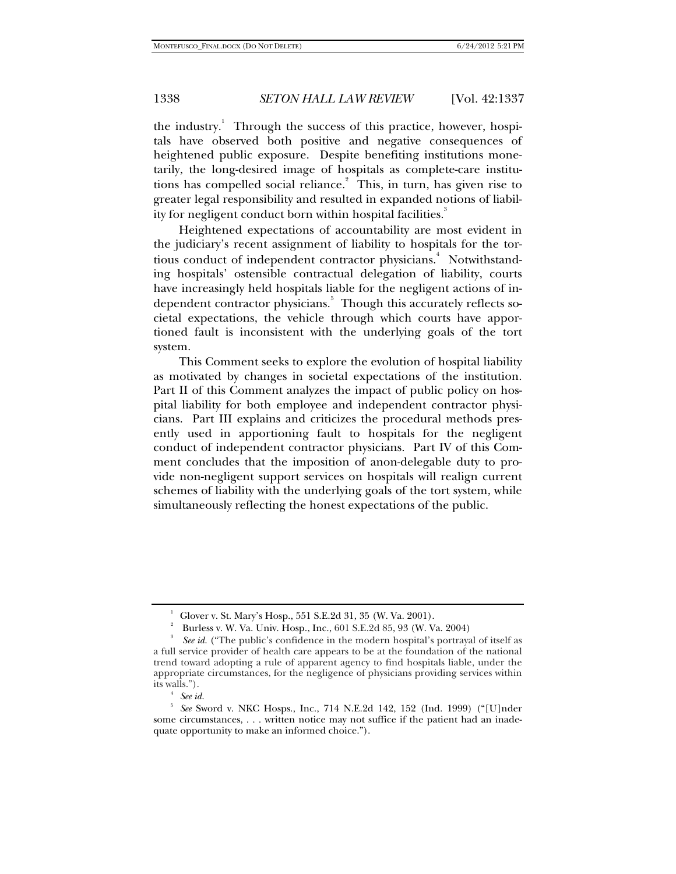the industry.<sup>1</sup> Through the success of this practice, however, hospitals have observed both positive and negative consequences of heightened public exposure. Despite benefiting institutions monetarily, the long-desired image of hospitals as complete-care institutions has compelled social reliance.<sup>2</sup> This, in turn, has given rise to greater legal responsibility and resulted in expanded notions of liability for negligent conduct born within hospital facilities.<sup>3</sup>

Heightened expectations of accountability are most evident in the judiciary's recent assignment of liability to hospitals for the tortious conduct of independent contractor physicians.<sup>4</sup> Notwithstanding hospitals' ostensible contractual delegation of liability, courts have increasingly held hospitals liable for the negligent actions of independent contractor physicians.<sup>5</sup> Though this accurately reflects societal expectations, the vehicle through which courts have apportioned fault is inconsistent with the underlying goals of the tort system.

This Comment seeks to explore the evolution of hospital liability as motivated by changes in societal expectations of the institution. Part II of this Comment analyzes the impact of public policy on hospital liability for both employee and independent contractor physicians. Part III explains and criticizes the procedural methods presently used in apportioning fault to hospitals for the negligent conduct of independent contractor physicians. Part IV of this Comment concludes that the imposition of anon-delegable duty to provide non-negligent support services on hospitals will realign current schemes of liability with the underlying goals of the tort system, while simultaneously reflecting the honest expectations of the public.

<sup>1</sup> Glover v. St. Mary's Hosp., 551 S.E.2d 31, 35 (W. Va. 2001).

<sup>&</sup>lt;sup>2</sup> Burless v. W. Va. Univ. Hosp., Inc., 601 S.E.2d 85, 93 (W. Va. 2004)

*See id*. ("The public's confidence in the modern hospital's portrayal of itself as a full service provider of health care appears to be at the foundation of the national trend toward adopting a rule of apparent agency to find hospitals liable, under the appropriate circumstances, for the negligence of physicians providing services within its walls.").<br> $\frac{4}{3}$  See id.

<sup>4</sup>

<sup>&</sup>lt;sup>4</sup> See id.<br><sup>5</sup> See Sword v. NKC Hosps., Inc., 714 N.E.2d 142, 152 (Ind. 1999) ("[U]nder some circumstances, . . . written notice may not suffice if the patient had an inadequate opportunity to make an informed choice.").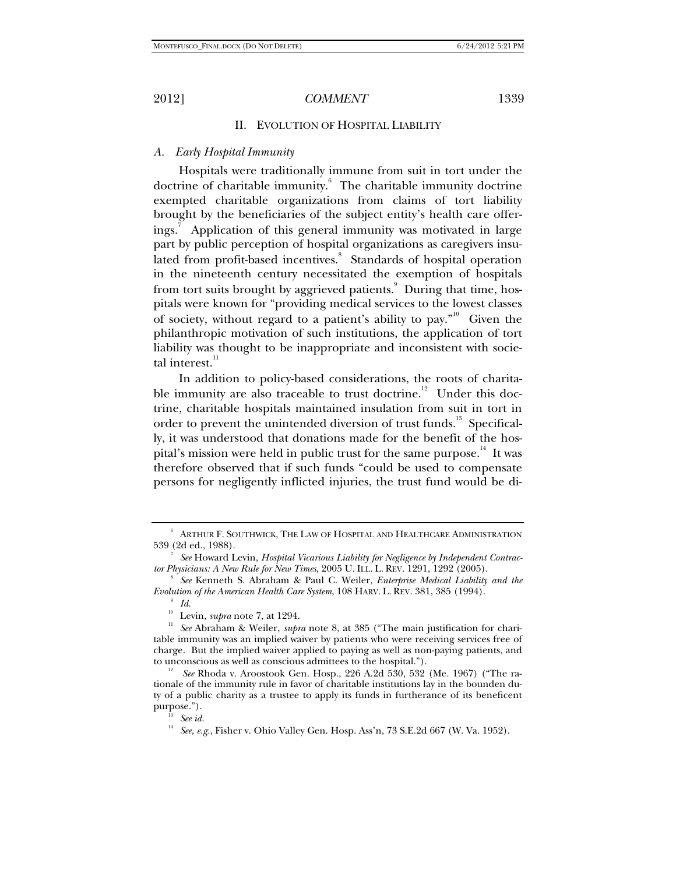## II. EVOLUTION OF HOSPITAL LIABILITY

# *A. Early Hospital Immunity*

Hospitals were traditionally immune from suit in tort under the doctrine of charitable immunity. The charitable immunity doctrine exempted charitable organizations from claims of tort liability brought by the beneficiaries of the subject entity's health care offerings.<sup>7</sup> Application of this general immunity was motivated in large part by public perception of hospital organizations as caregivers insulated from profit-based incentives. Standards of hospital operation in the nineteenth century necessitated the exemption of hospitals from tort suits brought by aggrieved patients. Puring that time, hospitals were known for "providing medical services to the lowest classes of society, without regard to a patient's ability to pay."<sup>10</sup> Given the philanthropic motivation of such institutions, the application of tort liability was thought to be inappropriate and inconsistent with societal interest. $11$ 

In addition to policy-based considerations, the roots of charitable immunity are also traceable to trust doctrine.<sup>12</sup> Under this doctrine, charitable hospitals maintained insulation from suit in tort in order to prevent the unintended diversion of trust funds.<sup>13</sup> Specifically, it was understood that donations made for the benefit of the hospital's mission were held in public trust for the same purpose.<sup>14</sup> It was therefore observed that if such funds "could be used to compensate persons for negligently inflicted injuries, the trust fund would be di-

 $^6$  Arthur F. Southwick, The Law of Hospital and Healthcare Administration 539 (2d ed., 1988). 7

*See* Howard Levin, *Hospital Vicarious Liability for Negligence by Independent Contractor Physicians: A New Rule for New Times*, 2005 U. ILL. L. REV. 1291, 1292 (2005). 8

*See* Kenneth S. Abraham & Paul C. Weiler, *Enterprise Medical Liability and the Evolution of the American Health Care System, 108 HARV. L. REV. 381, 385 (1994).* 

 $\int_{10}^{9}$  *Id.*<br>Levin, *supra* note 7, at 1294.

<sup>&</sup>lt;sup>11</sup> See Abraham & Weiler, *supra* note 8, at 385 ("The main justification for charitable immunity was an implied waiver by patients who were receiving services free of charge. But the implied waiver applied to paying as well as non-paying patients, and to unconscious as well as conscious admittees to the hospital."). 12 *See* Rhoda v. Aroostook Gen. Hosp., 226 A.2d 530, 532 (Me. 1967) ("The ra-

tionale of the immunity rule in favor of charitable institutions lay in the bounden duty of a public charity as a trustee to apply its funds in furtherance of its beneficent purpose."). 13 *See id*. 14 *See, e.g.*, Fisher v. Ohio Valley Gen. Hosp. Ass'n, 73 S.E.2d 667 (W. Va. 1952).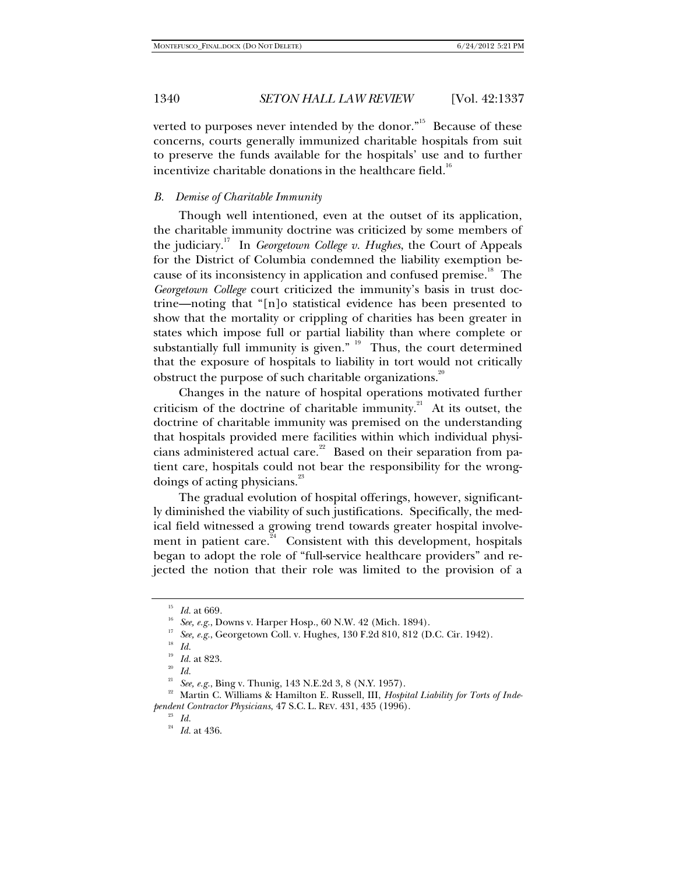verted to purposes never intended by the donor. $n^{15}$  Because of these concerns, courts generally immunized charitable hospitals from suit to preserve the funds available for the hospitals' use and to further incentivize charitable donations in the healthcare field.<sup>16</sup>

## *B. Demise of Charitable Immunity*

Though well intentioned, even at the outset of its application, the charitable immunity doctrine was criticized by some members of the judiciary.17 In *Georgetown College v. Hughes*, the Court of Appeals for the District of Columbia condemned the liability exemption because of its inconsistency in application and confused premise.<sup>18</sup> The *Georgetown College* court criticized the immunity's basis in trust doctrine—noting that "[n]o statistical evidence has been presented to show that the mortality or crippling of charities has been greater in states which impose full or partial liability than where complete or substantially full immunity is given."  $19$  Thus, the court determined that the exposure of hospitals to liability in tort would not critically obstruct the purpose of such charitable organizations.<sup>20</sup>

Changes in the nature of hospital operations motivated further criticism of the doctrine of charitable immunity.<sup>21</sup> At its outset, the doctrine of charitable immunity was premised on the understanding that hospitals provided mere facilities within which individual physicians administered actual care.<sup>22</sup> Based on their separation from patient care, hospitals could not bear the responsibility for the wrongdoings of acting physicians.<sup>23</sup>

The gradual evolution of hospital offerings, however, significantly diminished the viability of such justifications. Specifically, the medical field witnessed a growing trend towards greater hospital involvement in patient care.<sup>24</sup> Consistent with this development, hospitals began to adopt the role of "full-service healthcare providers" and rejected the notion that their role was limited to the provision of a

<sup>15</sup> *Id.* at 669*.*

<sup>&</sup>lt;sup>17</sup> See, e.g., Georgetown Coll. v. Hughes, 130 F.2d 810, 812 (D.C. Cir. 1942).<br><sup>18</sup> Id. at 823.<br><sup>19</sup> *Id.* at 823.

 $\frac{20}{21}$  *Id.*<br><sup>21</sup> *See, e.g.*, Bing v. Thunig, 143 N.E.2d 3, 8 (N.Y. 1957).

<sup>&</sup>lt;sup>22</sup> Martin C. Williams & Hamilton E. Russell, III, *Hospital Liability for Torts of Independent Contractor Physicians*, 47 S.C. L. REV. 431, 435 (1996). 23 *Id.* 24 *Id.* at 436.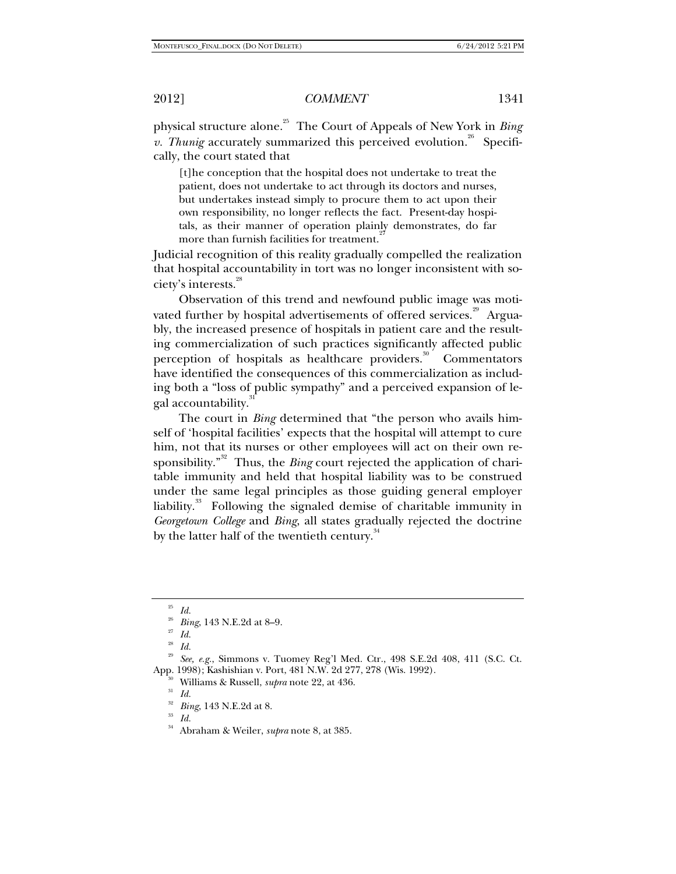physical structure alone.25 The Court of Appeals of New York in *Bing v. Thunig* accurately summarized this perceived evolution.<sup>26</sup> Specifically, the court stated that

[t]he conception that the hospital does not undertake to treat the patient, does not undertake to act through its doctors and nurses, but undertakes instead simply to procure them to act upon their own responsibility, no longer reflects the fact. Present-day hospitals, as their manner of operation plainly demonstrates, do far more than furnish facilities for treatment.<sup>2</sup>

Judicial recognition of this reality gradually compelled the realization that hospital accountability in tort was no longer inconsistent with society's interests.<sup>28</sup>

Observation of this trend and newfound public image was motivated further by hospital advertisements of offered services.<sup>29</sup> Arguably, the increased presence of hospitals in patient care and the resulting commercialization of such practices significantly affected public perception of hospitals as healthcare providers. $30^{\circ}$  Commentators have identified the consequences of this commercialization as including both a "loss of public sympathy" and a perceived expansion of legal accountability.<sup>3</sup>

The court in *Bing* determined that "the person who avails himself of 'hospital facilities' expects that the hospital will attempt to cure him, not that its nurses or other employees will act on their own responsibility."<sup>32</sup> Thus, the *Bing* court rejected the application of charitable immunity and held that hospital liability was to be construed under the same legal principles as those guiding general employer liability. $33$  Following the signaled demise of charitable immunity in *Georgetown College* and *Bing*, all states gradually rejected the doctrine by the latter half of the twentieth century.<sup>34</sup>

<sup>25</sup> *Id.*

<sup>26</sup> *Bing*, 143 N.E.2d at 8–9. 27 *Id.*

 $^{28} \;\; Id.$ 

<sup>&</sup>lt;sup>29</sup> See, e.g., Simmons v. Tuomey Reg'l Med. Ctr., 498 S.E.2d 408, 411 (S.C. Ct. App. 1998); Kashishian v. Port, 481 N.W. 2d 277, 278 (Wis. 1992).<br><sup>30</sup> Williams & Russell, *supra* note 22, at 436.<br><sup>31</sup> *Id.* <sup>32</sup> *B*. **148 N.E.O. 148** 

<sup>32</sup> *Bing*, 143 N.E.2d at 8. 33 *Id.* 

<sup>34</sup> Abraham & Weiler, *supra* note 8, at 385.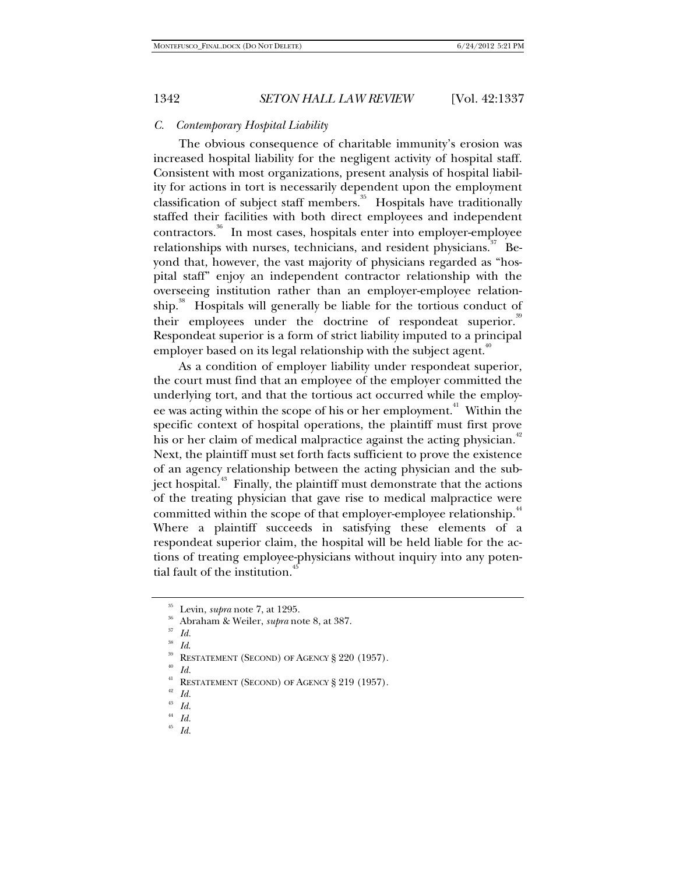## *C. Contemporary Hospital Liability*

The obvious consequence of charitable immunity's erosion was increased hospital liability for the negligent activity of hospital staff. Consistent with most organizations, present analysis of hospital liability for actions in tort is necessarily dependent upon the employment classification of subject staff members.<sup>35</sup> Hospitals have traditionally staffed their facilities with both direct employees and independent contractors.36 In most cases, hospitals enter into employer-employee relationships with nurses, technicians, and resident physicians.  $37$  Beyond that, however, the vast majority of physicians regarded as "hospital staff" enjoy an independent contractor relationship with the overseeing institution rather than an employer-employee relationship.<sup>38</sup> Hospitals will generally be liable for the tortious conduct of their employees under the doctrine of respondeat superior.<sup>39</sup> Respondeat superior is a form of strict liability imputed to a principal employer based on its legal relationship with the subject agent.<sup>40</sup>

As a condition of employer liability under respondeat superior, the court must find that an employee of the employer committed the underlying tort, and that the tortious act occurred while the employee was acting within the scope of his or her employment.<sup>41</sup> Within the specific context of hospital operations, the plaintiff must first prove his or her claim of medical malpractice against the acting physician.<sup>42</sup> Next, the plaintiff must set forth facts sufficient to prove the existence of an agency relationship between the acting physician and the subject hospital.<sup>43</sup> Finally, the plaintiff must demonstrate that the actions of the treating physician that gave rise to medical malpractice were committed within the scope of that employer-employee relationship.<sup>44</sup> Where a plaintiff succeeds in satisfying these elements of a respondeat superior claim, the hospital will be held liable for the actions of treating employee-physicians without inquiry into any potential fault of the institution.<sup>4</sup>

<sup>35</sup> Levin, *supra* note 7, at 1295. 36 Abraham & Weiler, *supra* note 8, at 387. 37 *Id.*

*Id.* 388<br>**RESTATEMENT (SECOND) OF AGENCY § 220 (1957).** *Id.* 

<sup>&</sup>lt;sup>41</sup> RESTATEMENT (SECOND) OF AGENCY § 219 (1957).<br><sup>42</sup> *Id.*  $\frac{1}{2}$ 

 $\frac{43}{44}$  *Id.* 

 $\frac{44}{45}$  *Id.*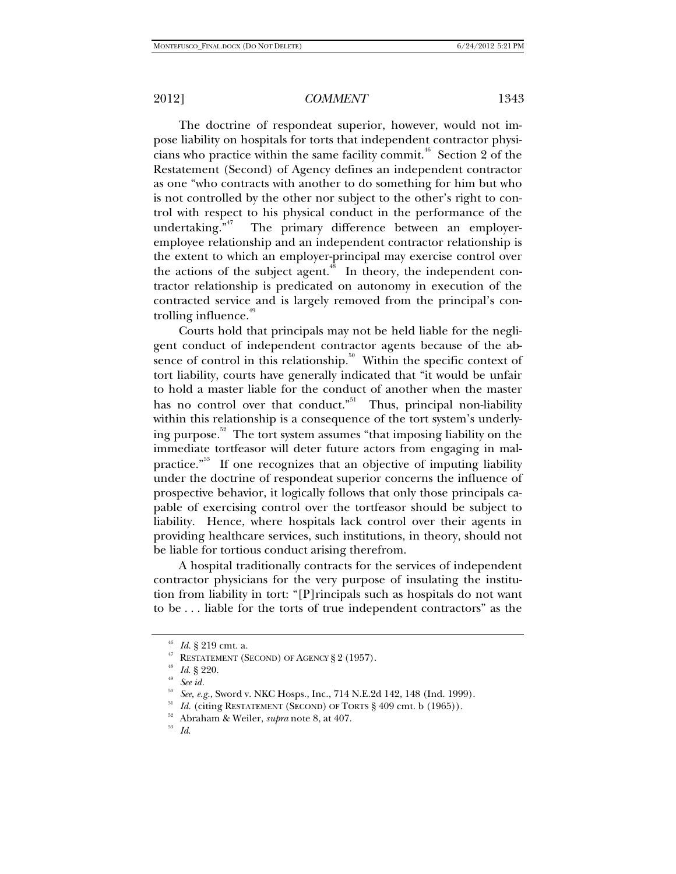The doctrine of respondeat superior, however, would not impose liability on hospitals for torts that independent contractor physicians who practice within the same facility commit.<sup>46</sup> Section 2 of the Restatement (Second) of Agency defines an independent contractor as one "who contracts with another to do something for him but who is not controlled by the other nor subject to the other's right to control with respect to his physical conduct in the performance of the undertaking."<sup>47</sup> The primary difference between an emplover-The primary difference between an employeremployee relationship and an independent contractor relationship is the extent to which an employer-principal may exercise control over the actions of the subject agent.<sup>48</sup> In theory, the independent contractor relationship is predicated on autonomy in execution of the contracted service and is largely removed from the principal's controlling influence. $49$ 

Courts hold that principals may not be held liable for the negligent conduct of independent contractor agents because of the absence of control in this relationship. $50$  Within the specific context of tort liability, courts have generally indicated that "it would be unfair to hold a master liable for the conduct of another when the master has no control over that conduct."<sup>51</sup> Thus, principal non-liability within this relationship is a consequence of the tort system's underlying purpose.<sup>52</sup> The tort system assumes "that imposing liability on the immediate tortfeasor will deter future actors from engaging in malpractice.<sup>"53</sup> If one recognizes that an objective of imputing liability under the doctrine of respondeat superior concerns the influence of prospective behavior, it logically follows that only those principals capable of exercising control over the tortfeasor should be subject to liability. Hence, where hospitals lack control over their agents in providing healthcare services, such institutions, in theory, should not be liable for tortious conduct arising therefrom.

A hospital traditionally contracts for the services of independent contractor physicians for the very purpose of insulating the institution from liability in tort: "[P]rincipals such as hospitals do not want to be . . . liable for the torts of true independent contractors" as the

<sup>46</sup> *Id.* § 219 cmt. a.

<sup>47</sup> RESTATEMENT (SECOND) OF AGENCY § <sup>2</sup> (1957). 48 *Id*. § 220. 49 *See id.*

<sup>&</sup>lt;sup>50</sup> See, e.g., Sword v. NKC Hosps., Inc., 714 N.E.2d 142, 148 (Ind. 1999).<br><sup>51</sup> Id. (citing RESTATEMENT (SECOND) OF TORTS § 409 cmt. b (1965)).<br><sup>52</sup> Abraham & Weiler, *supra* note 8, at 407.<br><sup>53</sup> Id.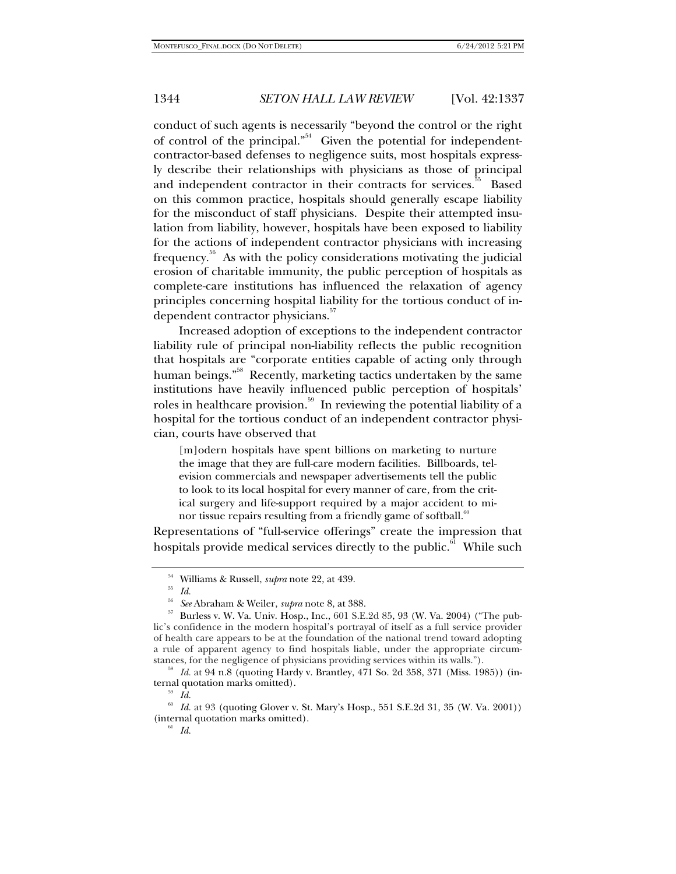conduct of such agents is necessarily "beyond the control or the right of control of the principal."<sup>54</sup> Given the potential for independentcontractor-based defenses to negligence suits, most hospitals expressly describe their relationships with physicians as those of principal and independent contractor in their contracts for services.<sup>35</sup> Based on this common practice, hospitals should generally escape liability for the misconduct of staff physicians. Despite their attempted insulation from liability, however, hospitals have been exposed to liability for the actions of independent contractor physicians with increasing frequency.<sup>36</sup> As with the policy considerations motivating the judicial erosion of charitable immunity, the public perception of hospitals as complete-care institutions has influenced the relaxation of agency principles concerning hospital liability for the tortious conduct of independent contractor physicians.<sup>37</sup>

Increased adoption of exceptions to the independent contractor liability rule of principal non-liability reflects the public recognition that hospitals are "corporate entities capable of acting only through human beings."<sup>58</sup> Recently, marketing tactics undertaken by the same institutions have heavily influenced public perception of hospitals' roles in healthcare provision.<sup>59</sup> In reviewing the potential liability of a hospital for the tortious conduct of an independent contractor physician, courts have observed that

[m]odern hospitals have spent billions on marketing to nurture the image that they are full-care modern facilities. Billboards, television commercials and newspaper advertisements tell the public to look to its local hospital for every manner of care, from the critical surgery and life-support required by a major accident to minor tissue repairs resulting from a friendly game of softball. $\frac{60}{60}$ 

Representations of "full-service offerings" create the impression that hospitals provide medical services directly to the public.<sup>61</sup> While such

 $^{54}$  Williams & Russell, *supra* note 22, at 439.  $^{55}$   $^{Id.}$ 

<sup>&</sup>lt;sup>56</sup> See Abraham & Weiler, *supra* note 8, at 388.<br><sup>57</sup> Burless v. W. Va. Univ. Hosp., Inc., 601 S.E.2d 85, 93 (W. Va. 2004) ("The public's confidence in the modern hospital's portrayal of itself as a full service provider of health care appears to be at the foundation of the national trend toward adopting a rule of apparent agency to find hospitals liable, under the appropriate circumstances, for the negligence of physicians providing services within its walls.").

<sup>&</sup>lt;sup>58</sup> Id. at 94 n.8 (quoting Hardy v. Brantley, 471 So. 2d 358, 371 (Miss. 1985)) (internal quotation marks omitted). 59 *Id.* 

<sup>60</sup> *Id.* at 93 (quoting Glover v. St. Mary's Hosp., 551 S.E.2d 31, 35 (W. Va. 2001)) (internal quotation marks omitted).<br><sup>61</sup> *Id.*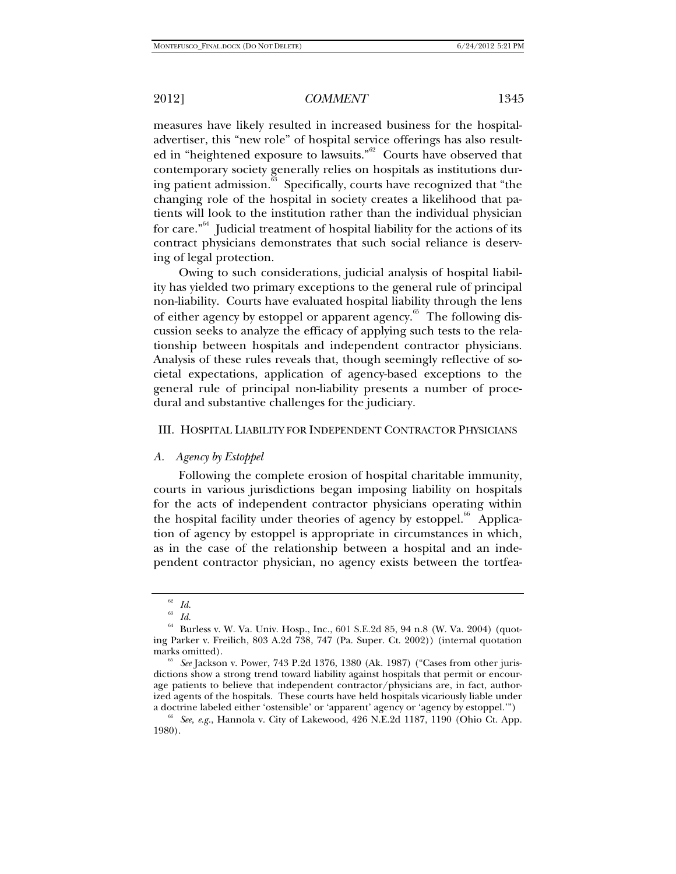measures have likely resulted in increased business for the hospitaladvertiser, this "new role" of hospital service offerings has also resulted in "heightened exposure to lawsuits."<sup>62</sup> Courts have observed that contemporary society generally relies on hospitals as institutions during patient admission.<sup>33</sup> Specifically, courts have recognized that "the changing role of the hospital in society creates a likelihood that patients will look to the institution rather than the individual physician for care." $64$  Judicial treatment of hospital liability for the actions of its contract physicians demonstrates that such social reliance is deserving of legal protection.

Owing to such considerations, judicial analysis of hospital liability has yielded two primary exceptions to the general rule of principal non-liability. Courts have evaluated hospital liability through the lens of either agency by estoppel or apparent agency.<sup>65</sup> The following discussion seeks to analyze the efficacy of applying such tests to the relationship between hospitals and independent contractor physicians. Analysis of these rules reveals that, though seemingly reflective of societal expectations, application of agency-based exceptions to the general rule of principal non-liability presents a number of procedural and substantive challenges for the judiciary.

## III. HOSPITAL LIABILITY FOR INDEPENDENT CONTRACTOR PHYSICIANS

## *A. Agency by Estoppel*

Following the complete erosion of hospital charitable immunity, courts in various jurisdictions began imposing liability on hospitals for the acts of independent contractor physicians operating within the hospital facility under theories of agency by estoppel.<sup>66</sup> Application of agency by estoppel is appropriate in circumstances in which, as in the case of the relationship between a hospital and an independent contractor physician, no agency exists between the tortfea-

<sup>62</sup> *Id.*

<sup>63</sup> *Id.* 

<sup>64</sup> Burless v. W. Va. Univ. Hosp., Inc., 601 S.E.2d 85, 94 n.8 (W. Va. 2004) (quoting Parker v. Freilich, 803 A.2d 738, 747 (Pa. Super. Ct. 2002)) (internal quotation marks omitted).<br><sup>65</sup> *See* Jackson v. Power, 743 P.2d 1376, 1380 (Ak. 1987) ("Cases from other juris-

dictions show a strong trend toward liability against hospitals that permit or encourage patients to believe that independent contractor/physicians are, in fact, authorized agents of the hospitals. These courts have held hospitals vicariously liable under

a doctrine labeled either 'ostensible' or 'apparent' agency or 'agency by estoppel.'") 66 *See, e.g.*, Hannola v. City of Lakewood, 426 N.E.2d 1187, 1190 (Ohio Ct. App. 1980).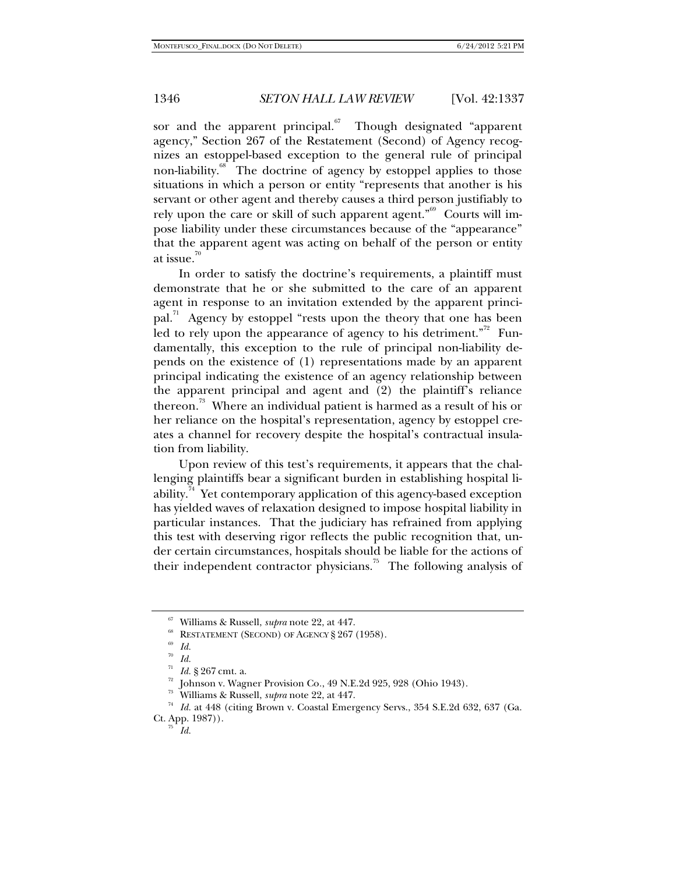sor and the apparent principal. $67$  Though designated "apparent agency," Section 267 of the Restatement (Second) of Agency recognizes an estoppel-based exception to the general rule of principal non-liability.<sup>68</sup> The doctrine of agency by estoppel applies to those situations in which a person or entity "represents that another is his servant or other agent and thereby causes a third person justifiably to rely upon the care or skill of such apparent agent." $\frac{69}{10}$  Courts will impose liability under these circumstances because of the "appearance" that the apparent agent was acting on behalf of the person or entity at issue. $10^{70}$ 

In order to satisfy the doctrine's requirements, a plaintiff must demonstrate that he or she submitted to the care of an apparent agent in response to an invitation extended by the apparent principal.<sup>71</sup> Agency by estoppel "rests upon the theory that one has been led to rely upon the appearance of agency to his detriment."<sup>22</sup> Fundamentally, this exception to the rule of principal non-liability depends on the existence of (1) representations made by an apparent principal indicating the existence of an agency relationship between the apparent principal and agent and (2) the plaintiff's reliance thereon.<sup>73</sup> Where an individual patient is harmed as a result of his or her reliance on the hospital's representation, agency by estoppel creates a channel for recovery despite the hospital's contractual insulation from liability.

Upon review of this test's requirements, it appears that the challenging plaintiffs bear a significant burden in establishing hospital liability.<sup>44</sup> Yet contemporary application of this agency-based exception has yielded waves of relaxation designed to impose hospital liability in particular instances. That the judiciary has refrained from applying this test with deserving rigor reflects the public recognition that, under certain circumstances, hospitals should be liable for the actions of their independent contractor physicians.<sup>75</sup> The following analysis of

<sup>&</sup>lt;sup>67</sup> Williams & Russell, *supra* note 22, at 447.<br><sup>68</sup> RESTATEMENT (SECOND) OF AGENCY § 267 (1958).<br><sup>69</sup> Id.

 $rac{70}{71}$  *Id.* 

*Id.* § 267 cmt. a.<br>Johnson v. Wagner Provision Co., 49 N.E.2d 925, 928 (Ohio 1943).

<sup>&</sup>lt;sup>23</sup> Williams & Russell, *supra* note 22, at 447.<br><sup>74</sup> Id. at 448 (citing Brown v. Coastal Emergency Servs., 354 S.E.2d 632, 637 (Ga. Ct. App. 1987)).<br>*Id.*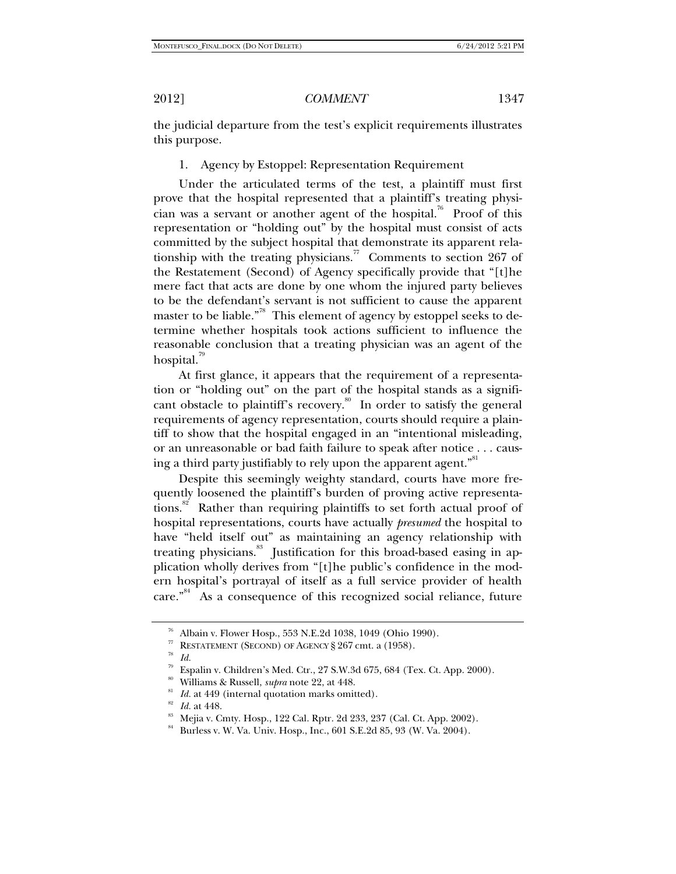the judicial departure from the test's explicit requirements illustrates this purpose.

1. Agency by Estoppel: Representation Requirement

Under the articulated terms of the test, a plaintiff must first prove that the hospital represented that a plaintiff's treating physician was a servant or another agent of the hospital.<sup>76</sup> Proof of this representation or "holding out" by the hospital must consist of acts committed by the subject hospital that demonstrate its apparent relationship with the treating physicians.<sup>77</sup> Comments to section 267 of the Restatement (Second) of Agency specifically provide that "[t]he mere fact that acts are done by one whom the injured party believes to be the defendant's servant is not sufficient to cause the apparent master to be liable."<sup>78</sup> This element of agency by estoppel seeks to determine whether hospitals took actions sufficient to influence the reasonable conclusion that a treating physician was an agent of the hospital.<sup>99</sup>

At first glance, it appears that the requirement of a representation or "holding out" on the part of the hospital stands as a significant obstacle to plaintiff's recovery.<sup>80</sup> In order to satisfy the general requirements of agency representation, courts should require a plaintiff to show that the hospital engaged in an "intentional misleading, or an unreasonable or bad faith failure to speak after notice . . . causing a third party justifiably to rely upon the apparent agent."<sup>81</sup>

Despite this seemingly weighty standard, courts have more frequently loosened the plaintiff's burden of proving active representations.<sup>82</sup> Rather than requiring plaintiffs to set forth actual proof of hospital representations, courts have actually *presumed* the hospital to have "held itself out" as maintaining an agency relationship with treating physicians.<sup>83</sup> Justification for this broad-based easing in application wholly derives from "[t]he public's confidence in the modern hospital's portrayal of itself as a full service provider of health  $care.<sup>34</sup>$  As a consequence of this recognized social reliance, future

<sup>76</sup> Albain v. Flower Hosp., 553 N.E.2d 1038, 1049 (Ohio 1990).

<sup>&</sup>lt;sup>77</sup> RESTATEMENT (SECOND) OF AGENCY § 267 cmt. a (1958). *Id.* 

 $^{79}$  Espalin v. Children's Med. Ctr., 27 S.W.3d 675, 684 (Tex. Ct. App. 2000). Williams & Russell, *supra* note 22, at 448.

<sup>&</sup>lt;sup>81</sup> *Id.* at 449 (internal quotation marks omitted).<br><sup>82</sup> *Id.* at 448. 83 Mejia v. Cmty. Hosp., 122 Cal. Rptr. 2d 233, 237 (Cal. Ct. App. 2002).

<sup>&</sup>lt;sup>84</sup> Burless v. W. Va. Univ. Hosp., Inc., 601 S.E.2d 85, 93 (W. Va. 2004).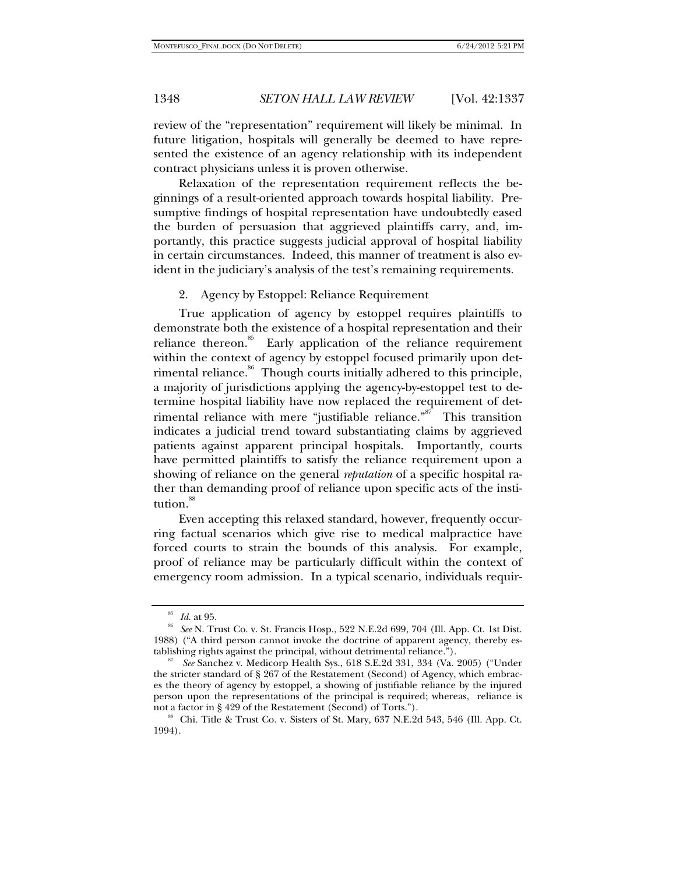review of the "representation" requirement will likely be minimal. In future litigation, hospitals will generally be deemed to have represented the existence of an agency relationship with its independent contract physicians unless it is proven otherwise.

Relaxation of the representation requirement reflects the beginnings of a result-oriented approach towards hospital liability. Presumptive findings of hospital representation have undoubtedly eased the burden of persuasion that aggrieved plaintiffs carry, and, importantly, this practice suggests judicial approval of hospital liability in certain circumstances. Indeed, this manner of treatment is also evident in the judiciary's analysis of the test's remaining requirements.

2. Agency by Estoppel: Reliance Requirement

True application of agency by estoppel requires plaintiffs to demonstrate both the existence of a hospital representation and their reliance thereon.<sup>85</sup> Early application of the reliance requirement within the context of agency by estoppel focused primarily upon detrimental reliance.<sup>86</sup> Though courts initially adhered to this principle, a majority of jurisdictions applying the agency-by-estoppel test to determine hospital liability have now replaced the requirement of detrimental reliance with mere "justifiable reliance."<sup>87</sup> This transition indicates a judicial trend toward substantiating claims by aggrieved patients against apparent principal hospitals. Importantly, courts have permitted plaintiffs to satisfy the reliance requirement upon a showing of reliance on the general *reputation* of a specific hospital rather than demanding proof of reliance upon specific acts of the institution.<sup>88</sup>

Even accepting this relaxed standard, however, frequently occurring factual scenarios which give rise to medical malpractice have forced courts to strain the bounds of this analysis. For example, proof of reliance may be particularly difficult within the context of emergency room admission. In a typical scenario, individuals requir-

<sup>85</sup> *Id.* at 95. 86 *See* N. Trust Co. v. St. Francis Hosp., 522 N.E.2d 699, 704 (Ill. App. Ct. 1st Dist. 1988) ("A third person cannot invoke the doctrine of apparent agency, thereby establishing rights against the principal, without detrimental reliance.").

*See* Sanchez v. Medicorp Health Sys., 618 S.E.2d 331, 334 (Va. 2005) ("Under the stricter standard of § 267 of the Restatement (Second) of Agency, which embraces the theory of agency by estoppel, a showing of justifiable reliance by the injured person upon the representations of the principal is required; whereas, reliance is not a factor in § 429 of the Restatement (Second) of Torts.").<br><sup>88</sup> Chi. Title & Trust Co. v. Sisters of St. Mary, 637 N.E.2d 543, 546 (Ill. App. Ct.

<sup>1994).</sup>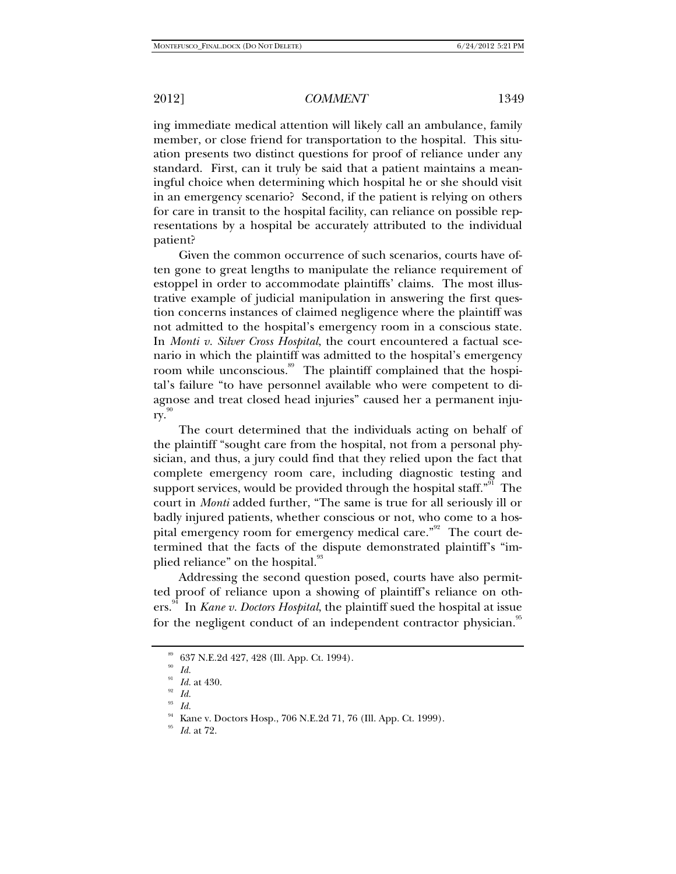ing immediate medical attention will likely call an ambulance, family member, or close friend for transportation to the hospital. This situation presents two distinct questions for proof of reliance under any standard. First, can it truly be said that a patient maintains a meaningful choice when determining which hospital he or she should visit in an emergency scenario? Second, if the patient is relying on others for care in transit to the hospital facility, can reliance on possible representations by a hospital be accurately attributed to the individual patient?

Given the common occurrence of such scenarios, courts have often gone to great lengths to manipulate the reliance requirement of estoppel in order to accommodate plaintiffs' claims. The most illustrative example of judicial manipulation in answering the first question concerns instances of claimed negligence where the plaintiff was not admitted to the hospital's emergency room in a conscious state. In *Monti v. Silver Cross Hospital*, the court encountered a factual scenario in which the plaintiff was admitted to the hospital's emergency room while unconscious.<sup>89</sup> The plaintiff complained that the hospital's failure "to have personnel available who were competent to diagnose and treat closed head injuries" caused her a permanent injury.

The court determined that the individuals acting on behalf of the plaintiff "sought care from the hospital, not from a personal physician, and thus, a jury could find that they relied upon the fact that complete emergency room care, including diagnostic testing and support services, would be provided through the hospital staff.<sup> $"$ "</sup> The court in *Monti* added further, "The same is true for all seriously ill or badly injured patients, whether conscious or not, who come to a hospital emergency room for emergency medical care."<sup>92</sup> The court determined that the facts of the dispute demonstrated plaintiff's "implied reliance" on the hospital.<sup>93</sup>

Addressing the second question posed, courts have also permitted proof of reliance upon a showing of plaintiff's reliance on others.94 In *Kane v. Doctors Hospital*, the plaintiff sued the hospital at issue for the negligent conduct of an independent contractor physician.<sup>95</sup>

<sup>89 637</sup> N.E.2d 427, 428 (Ill. App. Ct. 1994).

<sup>90</sup> *Id.* 

<sup>91</sup> *Id.* at 430. 92 *Id.* 

<sup>93</sup> *Id.* 

<sup>94</sup> Kane v. Doctors Hosp., 706 N.E.2d 71, 76 (Ill. App. Ct. 1999).

<sup>95</sup> *Id.* at 72.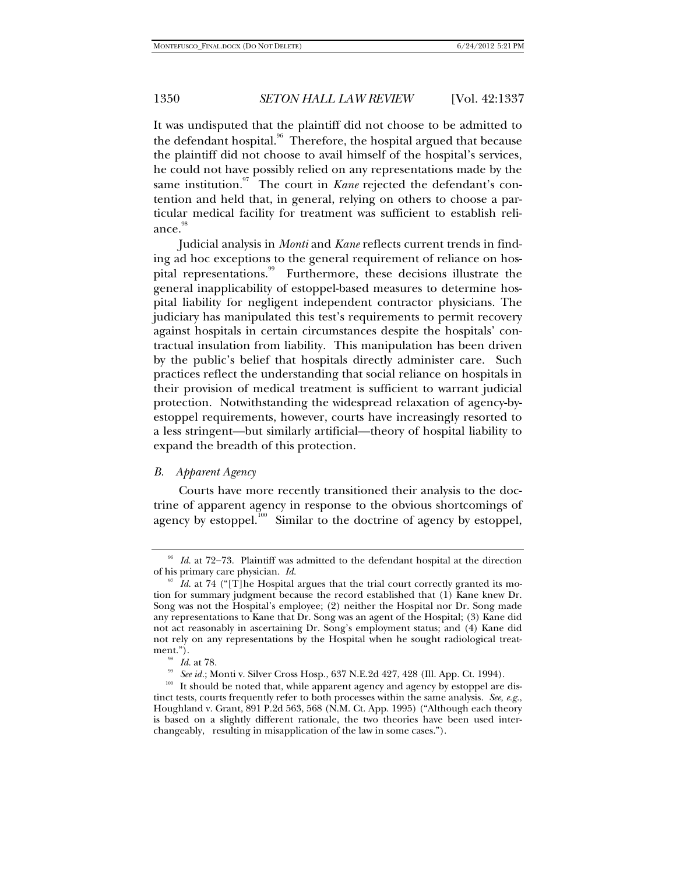It was undisputed that the plaintiff did not choose to be admitted to the defendant hospital.<sup>96</sup> Therefore, the hospital argued that because the plaintiff did not choose to avail himself of the hospital's services, he could not have possibly relied on any representations made by the same institution.<sup>97</sup> The court in *Kane* rejected the defendant's contention and held that, in general, relying on others to choose a particular medical facility for treatment was sufficient to establish reliance.<sup>98</sup>

Judicial analysis in *Monti* and *Kane* reflects current trends in finding ad hoc exceptions to the general requirement of reliance on hospital representations.<sup>99</sup> Furthermore, these decisions illustrate the general inapplicability of estoppel-based measures to determine hospital liability for negligent independent contractor physicians. The judiciary has manipulated this test's requirements to permit recovery against hospitals in certain circumstances despite the hospitals' contractual insulation from liability. This manipulation has been driven by the public's belief that hospitals directly administer care. Such practices reflect the understanding that social reliance on hospitals in their provision of medical treatment is sufficient to warrant judicial protection. Notwithstanding the widespread relaxation of agency-byestoppel requirements, however, courts have increasingly resorted to a less stringent—but similarly artificial—theory of hospital liability to expand the breadth of this protection.

# *B. Apparent Agency*

Courts have more recently transitioned their analysis to the doctrine of apparent agency in response to the obvious shortcomings of agency by estoppel.<sup>100</sup> Similar to the doctrine of agency by estoppel,

<sup>96</sup> *Id.* at 72−73. Plaintiff was admitted to the defendant hospital at the direction of his primary care physician. *Id.* 

*Id.* at 74 ("[T]he Hospital argues that the trial court correctly granted its motion for summary judgment because the record established that (1) Kane knew Dr. Song was not the Hospital's employee; (2) neither the Hospital nor Dr. Song made any representations to Kane that Dr. Song was an agent of the Hospital; (3) Kane did not act reasonably in ascertaining Dr. Song's employment status; and (4) Kane did not rely on any representations by the Hospital when he sought radiological treat-

<sup>&</sup>lt;sup>98</sup> *Id.* at 78.<br><sup>99</sup> *See id.*; Monti v. Silver Cross Hosp., 637 N.E.2d 427, 428 (Ill. App. Ct. 1994).<br><sup>100</sup> It should be noted that, while apparent agency and agency by estoppel are distinct tests, courts frequently refer to both processes within the same analysis. *See, e.g.*, Houghland v. Grant, 891 P.2d 563, 568 (N.M. Ct. App. 1995) ("Although each theory is based on a slightly different rationale, the two theories have been used interchangeably, resulting in misapplication of the law in some cases.").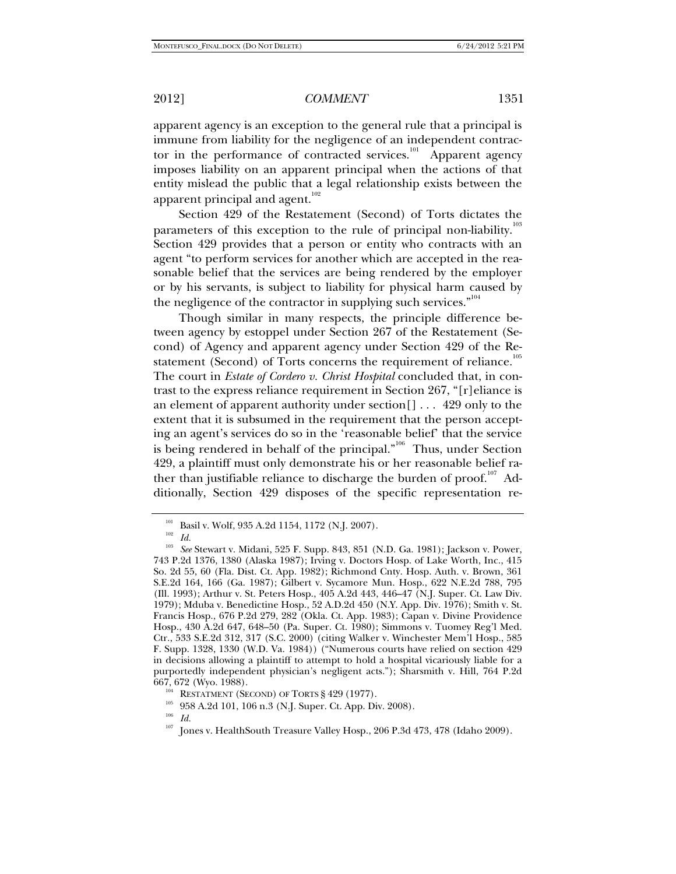apparent agency is an exception to the general rule that a principal is immune from liability for the negligence of an independent contractor in the performance of contracted services.<sup>101</sup> Apparent agency imposes liability on an apparent principal when the actions of that entity mislead the public that a legal relationship exists between the apparent principal and agent. $102$ 

Section 429 of the Restatement (Second) of Torts dictates the parameters of this exception to the rule of principal non-liability.<sup>103</sup> Section 429 provides that a person or entity who contracts with an agent "to perform services for another which are accepted in the reasonable belief that the services are being rendered by the employer or by his servants, is subject to liability for physical harm caused by the negligence of the contractor in supplying such services."<sup>104</sup>

Though similar in many respects, the principle difference between agency by estoppel under Section 267 of the Restatement (Second) of Agency and apparent agency under Section 429 of the Restatement (Second) of Torts concerns the requirement of reliance.<sup>105</sup> The court in *Estate of Cordero v. Christ Hospital* concluded that, in contrast to the express reliance requirement in Section 267, "[r]eliance is an element of apparent authority under section[] . . . 429 only to the extent that it is subsumed in the requirement that the person accepting an agent's services do so in the 'reasonable belief' that the service is being rendered in behalf of the principal."<sup>106</sup> Thus, under Section 429, a plaintiff must only demonstrate his or her reasonable belief rather than justifiable reliance to discharge the burden of proof.<sup>107</sup> Additionally, Section 429 disposes of the specific representation re-

<sup>104</sup> RESTATMENT (SECOND) OF TORTS § 429 (1977).<br><sup>105</sup> 958 A.2d 101, 106 n.3 (N.J. Super. Ct. App. Div. 2008).<br><sup>106</sup> *Id.* 

<sup>&</sup>lt;sup>101</sup> Basil v. Wolf, 935 A.2d 1154, 1172 (N.J. 2007).<br><sup>102</sup> *Id.* 202 *See* Stewart v. Midani, 525 F. Supp. 843, 851 (N.D. Ga. 1981); Jackson v. Power, 743 P.2d 1376, 1380 (Alaska 1987); Irving v. Doctors Hosp. of Lake Worth, Inc., 415 So. 2d 55, 60 (Fla. Dist. Ct. App. 1982); Richmond Cnty. Hosp. Auth. v. Brown, 361 S.E.2d 164, 166 (Ga. 1987); Gilbert v. Sycamore Mun. Hosp., 622 N.E.2d 788, 795 (Ill. 1993); Arthur v. St. Peters Hosp., 405 A.2d 443, 446–47 (N.J. Super. Ct. Law Div. 1979); Mduba v. Benedictine Hosp., 52 A.D.2d 450 (N.Y. App. Div. 1976); Smith v. St. Francis Hosp., 676 P.2d 279, 282 (Okla. Ct. App. 1983); Capan v. Divine Providence Hosp., 430 A.2d 647, 648–50 (Pa. Super. Ct. 1980); Simmons v. Tuomey Reg'l Med. Ctr., 533 S.E.2d 312, 317 (S.C. 2000) (citing Walker v. Winchester Mem'l Hosp., 585 F. Supp. 1328, 1330 (W.D. Va. 1984)) ("Numerous courts have relied on section 429 in decisions allowing a plaintiff to attempt to hold a hospital vicariously liable for a purportedly independent physician's negligent acts."); Sharsmith v. Hill, 764 P.2d

 $^{107}$  Jones v. HealthSouth Treasure Valley Hosp., 206 P.3d 473, 478 (Idaho 2009).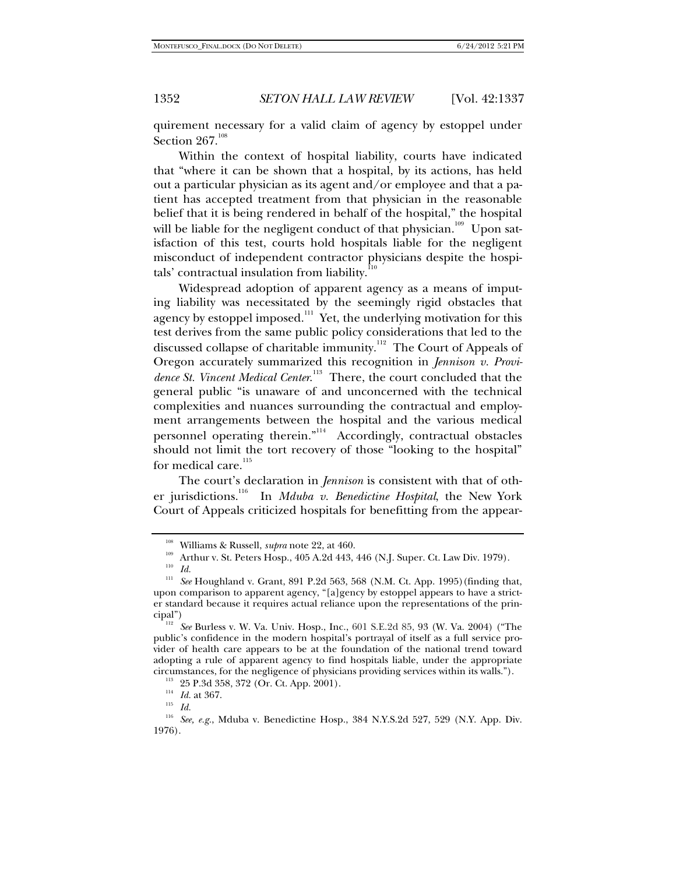quirement necessary for a valid claim of agency by estoppel under Section  $267.108$ 

Within the context of hospital liability, courts have indicated that "where it can be shown that a hospital, by its actions, has held out a particular physician as its agent and/or employee and that a patient has accepted treatment from that physician in the reasonable belief that it is being rendered in behalf of the hospital," the hospital will be liable for the negligent conduct of that physician.<sup>109</sup> Upon satisfaction of this test, courts hold hospitals liable for the negligent misconduct of independent contractor physicians despite the hospitals' contractual insulation from liability. $110$ 

Widespread adoption of apparent agency as a means of imputing liability was necessitated by the seemingly rigid obstacles that agency by estoppel imposed.<sup>111</sup> Yet, the underlying motivation for this test derives from the same public policy considerations that led to the discussed collapse of charitable immunity.<sup>112</sup> The Court of Appeals of Oregon accurately summarized this recognition in *Jennison v. Provi*dence St. Vincent Medical Center.<sup>113</sup> There, the court concluded that the general public "is unaware of and unconcerned with the technical complexities and nuances surrounding the contractual and employment arrangements between the hospital and the various medical personnel operating therein."<sup>114</sup> Accordingly, contractual obstacles should not limit the tort recovery of those "looking to the hospital" for medical care.<sup>115</sup>

The court's declaration in *Jennison* is consistent with that of other jurisdictions.116 In *Mduba v. Benedictine Hospital*, the New York Court of Appeals criticized hospitals for benefitting from the appear-

<sup>&</sup>lt;sup>108</sup> Williams & Russell, *supra* note 22, at 460.<br><sup>109</sup> Arthur v. St. Peters Hosp., 405 A.2d 443, 446 (N.J. Super. Ct. Law Div. 1979).<br><sup>110</sup> *Id.* 

<sup>&</sup>lt;sup>111</sup> See Houghland v. Grant, 891 P.2d 563, 568 (N.M. Ct. App. 1995) (finding that, upon comparison to apparent agency, "[a]gency by estoppel appears to have a stricter standard because it requires actual reliance upon the representations of the principal") 112 *See* Burless v. W. Va. Univ. Hosp., Inc., 601 S.E.2d 85, 93 (W. Va. 2004) ("The

public's confidence in the modern hospital's portrayal of itself as a full service provider of health care appears to be at the foundation of the national trend toward adopting a rule of apparent agency to find hospitals liable, under the appropriate circumstances, for the negligence of physicians providing services within its walls."). <sup>113</sup> 25 P.3d 358, 372 (Or. Ct. App. 2001).  $\frac{114}{114}$  *Id.* at 367. *II* 

<sup>116</sup> *See, e.g.*, Mduba v. Benedictine Hosp., 384 N.Y.S.2d 527, 529 (N.Y. App. Div. 1976).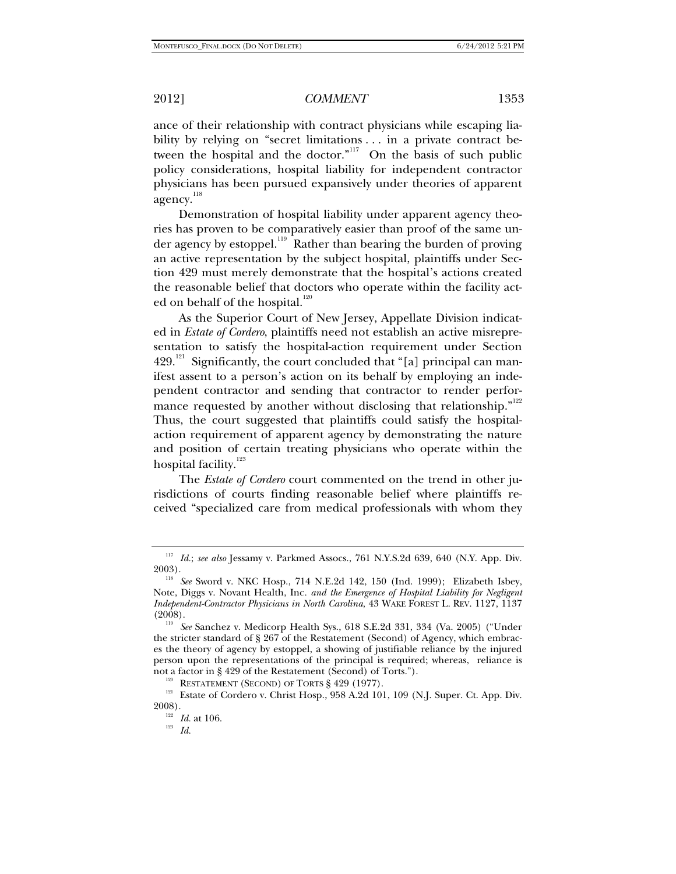ance of their relationship with contract physicians while escaping liability by relying on "secret limitations . . . in a private contract between the hospital and the doctor."<sup>117</sup> On the basis of such public policy considerations, hospital liability for independent contractor physicians has been pursued expansively under theories of apparent agency.<sup>118</sup>

Demonstration of hospital liability under apparent agency theories has proven to be comparatively easier than proof of the same under agency by estoppel.<sup>119</sup> Rather than bearing the burden of proving an active representation by the subject hospital, plaintiffs under Section 429 must merely demonstrate that the hospital's actions created the reasonable belief that doctors who operate within the facility acted on behalf of the hospital.<sup>120</sup>

As the Superior Court of New Jersey, Appellate Division indicated in *Estate of Cordero*, plaintiffs need not establish an active misrepresentation to satisfy the hospital-action requirement under Section  $429$ <sup>121</sup> Significantly, the court concluded that "[a] principal can manifest assent to a person's action on its behalf by employing an independent contractor and sending that contractor to render performance requested by another without disclosing that relationship."<sup>122</sup> Thus, the court suggested that plaintiffs could satisfy the hospitalaction requirement of apparent agency by demonstrating the nature and position of certain treating physicians who operate within the hospital facility.<sup>123</sup>

The *Estate of Cordero* court commented on the trend in other jurisdictions of courts finding reasonable belief where plaintiffs received "specialized care from medical professionals with whom they

<sup>117</sup> *Id.*; *see also* Jessamy v. Parkmed Assocs., 761 N.Y.S.2d 639, 640 (N.Y. App. Div. 2003).

<sup>118</sup> *See* Sword v. NKC Hosp., 714 N.E.2d 142, 150 (Ind. 1999); Elizabeth Isbey, Note, Diggs v. Novant Health, Inc*. and the Emergence of Hospital Liability for Negligent Independent-Contractor Physicians in North Carolina*, 43 WAKE FOREST L. REV. 1127, 1137 (2008). 119 *See* Sanchez v. Medicorp Health Sys., 618 S.E.2d 331, 334 (Va. 2005) ("Under

the stricter standard of § 267 of the Restatement (Second) of Agency, which embraces the theory of agency by estoppel, a showing of justifiable reliance by the injured person upon the representations of the principal is required; whereas, reliance is

not a factor in § 429 of the Restatement (Second) of Torts.").<br><sup>120</sup> RESTATEMENT (SECOND) OF TORTS § 429 (1977).<br><sup>121</sup> Estate of Cordero v. Christ Hosp., 958 A.2d 101, 109 (N.J. Super. Ct. App. Div.<br>2008).

<sup>&</sup>lt;sup>122</sup> *Id.* at 106.

<sup>123</sup> *Id.*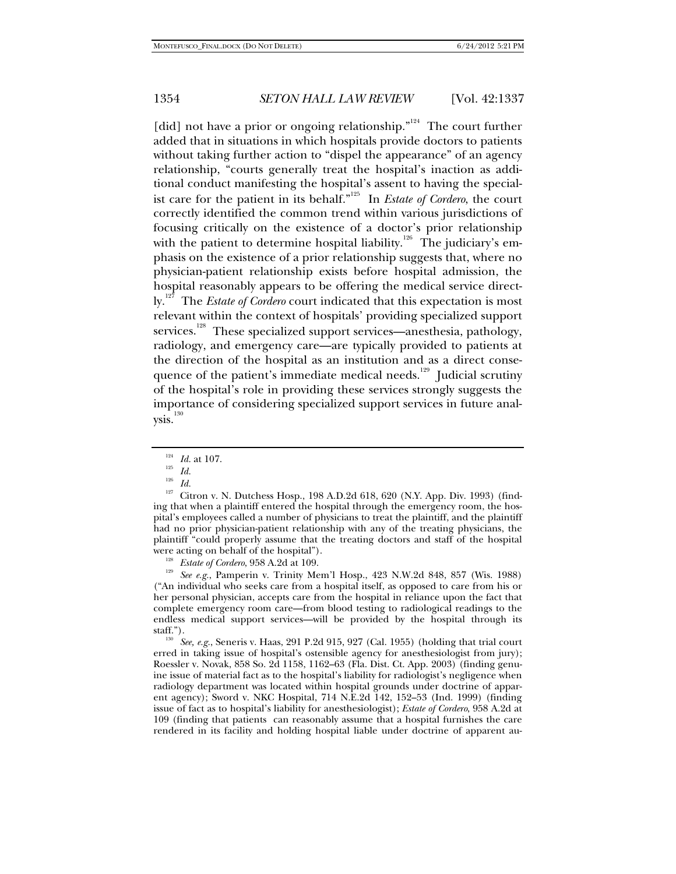[did] not have a prior or ongoing relationship."<sup>124</sup> The court further added that in situations in which hospitals provide doctors to patients without taking further action to "dispel the appearance" of an agency relationship, "courts generally treat the hospital's inaction as additional conduct manifesting the hospital's assent to having the specialist care for the patient in its behalf.<sup> $n^{125}$ </sup> In *Estate of Cordero*, the court correctly identified the common trend within various jurisdictions of focusing critically on the existence of a doctor's prior relationship with the patient to determine hospital liability.<sup>126</sup> The judiciary's emphasis on the existence of a prior relationship suggests that, where no physician-patient relationship exists before hospital admission, the hospital reasonably appears to be offering the medical service directly.<sup>127</sup> The *Estate of Cordero* court indicated that this expectation is most relevant within the context of hospitals' providing specialized support services.<sup>128</sup> These specialized support services—anesthesia, pathology, radiology, and emergency care—are typically provided to patients at the direction of the hospital as an institution and as a direct consequence of the patient's immediate medical needs.<sup>129</sup> Judicial scrutiny of the hospital's role in providing these services strongly suggests the importance of considering specialized support services in future anal $ysis.<sup>130</sup>$ 

<sup>128</sup> *Estate of Cordero*, 958 A.2d at 109. 129 *See e.g.*, Pamperin v. Trinity Mem'l Hosp., 423 N.W.2d 848, 857 (Wis. 1988) ("An individual who seeks care from a hospital itself, as opposed to care from his or her personal physician, accepts care from the hospital in reliance upon the fact that complete emergency room care—from blood testing to radiological readings to the endless medical support services—will be provided by the hospital through its staff.").

<sup>130</sup> See, e.g., Seneris v. Haas, 291 P.2d 915, 927 (Cal. 1955) (holding that trial court erred in taking issue of hospital's ostensible agency for anesthesiologist from jury); Roessler v. Novak, 858 So. 2d 1158, 1162–63 (Fla. Dist. Ct. App. 2003) (finding genuine issue of material fact as to the hospital's liability for radiologist's negligence when radiology department was located within hospital grounds under doctrine of apparent agency); Sword v. NKC Hospital, 714 N.E.2d 142, 152–53 (Ind. 1999) (finding issue of fact as to hospital's liability for anesthesiologist); *Estate of Cordero*, 958 A.2d at 109 (finding that patients can reasonably assume that a hospital furnishes the care rendered in its facility and holding hospital liable under doctrine of apparent au-

<sup>&</sup>lt;sup>124</sup> *Id.* at 107.<br><sup>125</sup> *Id.*<br><sup>126</sup> *Id* 

<sup>&</sup>lt;sup>126</sup> Id.<br><sup>127</sup> Citron v. N. Dutchess Hosp., 198 A.D.2d 618, 620 (N.Y. App. Div. 1993) (finding that when a plaintiff entered the hospital through the emergency room, the hospital's employees called a number of physicians to treat the plaintiff, and the plaintiff had no prior physician-patient relationship with any of the treating physicians, the plaintiff "could properly assume that the treating doctors and staff of the hospital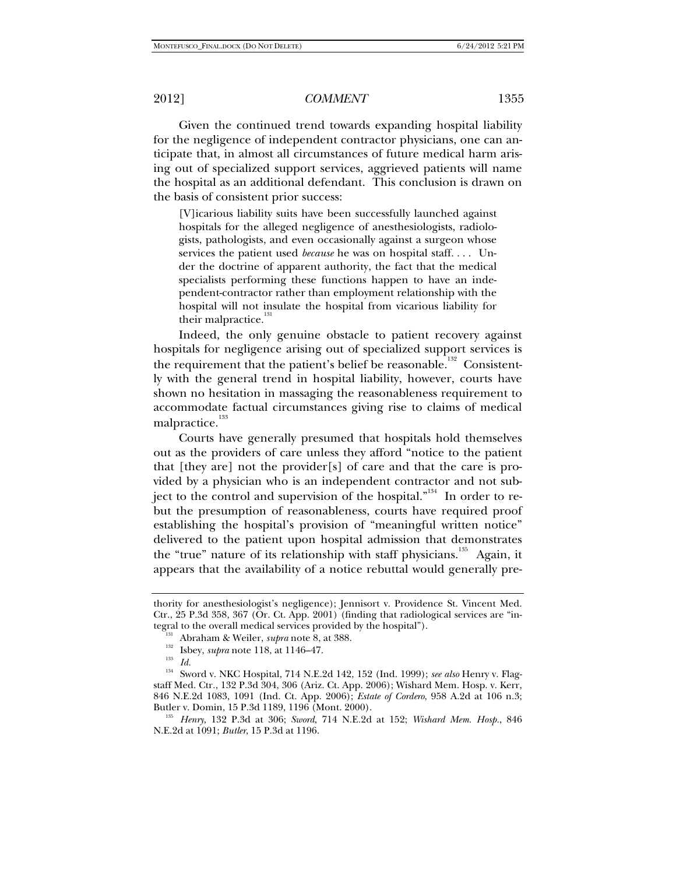Given the continued trend towards expanding hospital liability for the negligence of independent contractor physicians, one can anticipate that, in almost all circumstances of future medical harm arising out of specialized support services, aggrieved patients will name the hospital as an additional defendant. This conclusion is drawn on the basis of consistent prior success:

[V]icarious liability suits have been successfully launched against hospitals for the alleged negligence of anesthesiologists, radiologists, pathologists, and even occasionally against a surgeon whose services the patient used *because* he was on hospital staff. . . . Under the doctrine of apparent authority, the fact that the medical specialists performing these functions happen to have an independent-contractor rather than employment relationship with the hospital will not insulate the hospital from vicarious liability for their malpractice.<sup>131</sup>

Indeed, the only genuine obstacle to patient recovery against hospitals for negligence arising out of specialized support services is the requirement that the patient's belief be reasonable.<sup>132</sup> Consistently with the general trend in hospital liability, however, courts have shown no hesitation in massaging the reasonableness requirement to accommodate factual circumstances giving rise to claims of medical malpractice.<sup>133</sup>

Courts have generally presumed that hospitals hold themselves out as the providers of care unless they afford "notice to the patient that [they are] not the provider[s] of care and that the care is provided by a physician who is an independent contractor and not subject to the control and supervision of the hospital."<sup>134</sup> In order to rebut the presumption of reasonableness, courts have required proof establishing the hospital's provision of "meaningful written notice" delivered to the patient upon hospital admission that demonstrates the "true" nature of its relationship with staff physicians.<sup>135</sup> Again, it appears that the availability of a notice rebuttal would generally pre-

thority for anesthesiologist's negligence); Jennisort v. Providence St. Vincent Med. Ctr., 25 P.3d 358, 367 (Or. Ct. App. 2001) (finding that radiological services are "integral to the overall medical services provided by the hospital").<br>
<sup>131</sup> Abraham & Weiler, *supra* note 8, at 388.<br>
<sup>132</sup> Isbey, *supra* note 118, at 1146–47.<br>
<sup>133</sup> Id.

<sup>134</sup> Sword v. NKC Hospital, 714 N.E.2d 142, 152 (Ind. 1999); *see also* Henry v. Flagstaff Med. Ctr*.*, 132 P.3d 304, 306 (Ariz. Ct. App. 2006); Wishard Mem. Hosp. v. Kerr, 846 N.E.2d 1083, 1091 (Ind. Ct. App. 2006); *Estate of Cordero*, 958 A.2d at 106 n.3; Butler v. Domin, 15 P.3d 1189, 1196 (Mont. 2000). 135 *Henry*, 132 P.3d at 306; *Sword*, 714 N.E.2d at 152; *Wishard Mem. Hosp.*, 846

N.E.2d at 1091; *Butler*, 15 P.3d at 1196.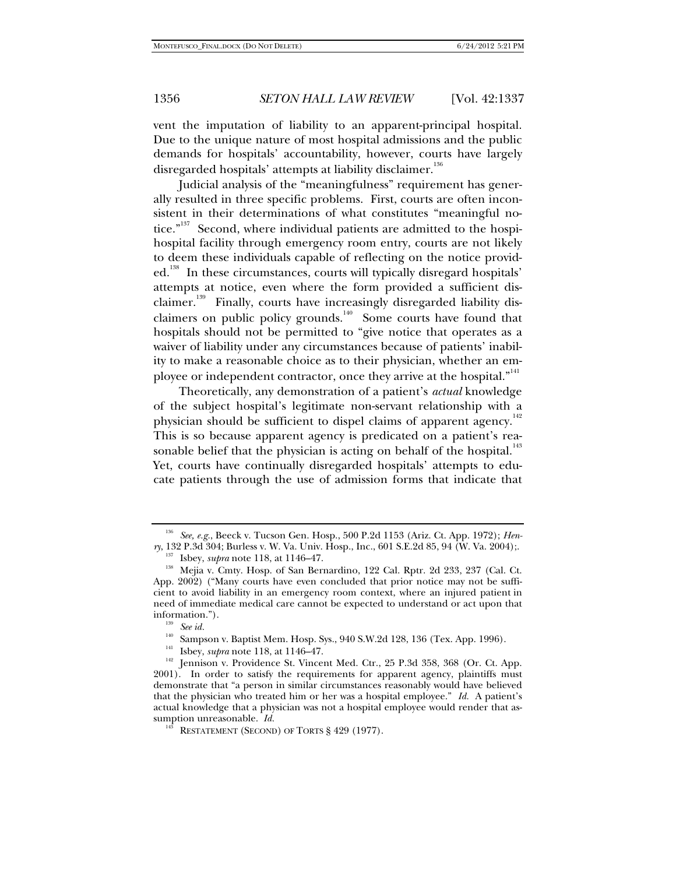vent the imputation of liability to an apparent-principal hospital. Due to the unique nature of most hospital admissions and the public demands for hospitals' accountability, however, courts have largely disregarded hospitals' attempts at liability disclaimer.<sup>136</sup>

Judicial analysis of the "meaningfulness" requirement has generally resulted in three specific problems. First, courts are often inconsistent in their determinations of what constitutes "meaningful notice."<sup>137</sup> Second, where individual patients are admitted to the hospihospital facility through emergency room entry, courts are not likely to deem these individuals capable of reflecting on the notice provided.<sup>138</sup> In these circumstances, courts will typically disregard hospitals' attempts at notice, even where the form provided a sufficient disclaimer.<sup>139</sup> Finally, courts have increasingly disregarded liability disclaimers on public policy grounds.<sup>140</sup> Some courts have found that hospitals should not be permitted to "give notice that operates as a waiver of liability under any circumstances because of patients' inability to make a reasonable choice as to their physician, whether an employee or independent contractor, once they arrive at the hospital."<sup>141</sup>

Theoretically, any demonstration of a patient's *actual* knowledge of the subject hospital's legitimate non-servant relationship with a physician should be sufficient to dispel claims of apparent agency.<sup>142</sup> This is so because apparent agency is predicated on a patient's reasonable belief that the physician is acting on behalf of the hospital.<sup>143</sup> Yet, courts have continually disregarded hospitals' attempts to educate patients through the use of admission forms that indicate that

<sup>136</sup> *See, e.g.*, Beeck v. Tucson Gen. Hosp., 500 P.2d 1153 (Ariz. Ct. App. 1972); *Henry*, 132 P.3d 304; Burless v. W. Va. Univ. Hosp., Inc., 601 S.E.2d 85, 94 (W. Va. 2004);.<br><sup>137</sup> Isbey, *supra* note 118, at 1146–47.

<sup>&</sup>lt;sup>138</sup> Mejia v. Cmty. Hosp. of San Bernardino, 122 Cal. Rptr. 2d 233, 237 (Cal. Ct. App. 2002) ("Many courts have even concluded that prior notice may not be sufficient to avoid liability in an emergency room context, where an injured patient in need of immediate medical care cannot be expected to understand or act upon that information.").<br><sup>139</sup> *See id.*<br><sup>140</sup> Sampson v. Baptist Mem. Hosp. Sys., 940 S.W.2d 128, 136 (Tex. App. 1996).

<sup>&</sup>lt;sup>141</sup> Isbey, *supra* note 118, at 1146–47.<br><sup>142</sup> Jennison v. Providence St. Vincent Med. Ctr., 25 P.3d 358, 368 (Or. Ct. App. 2001). In order to satisfy the requirements for apparent agency, plaintiffs must demonstrate that "a person in similar circumstances reasonably would have believed that the physician who treated him or her was a hospital employee." *Id.* A patient's actual knowledge that a physician was not a hospital employee would render that assumption unreasonable. *Id.*

 $14^{\frac{1}{3}}$  RESTATEMENT (SECOND) OF TORTS § 429 (1977).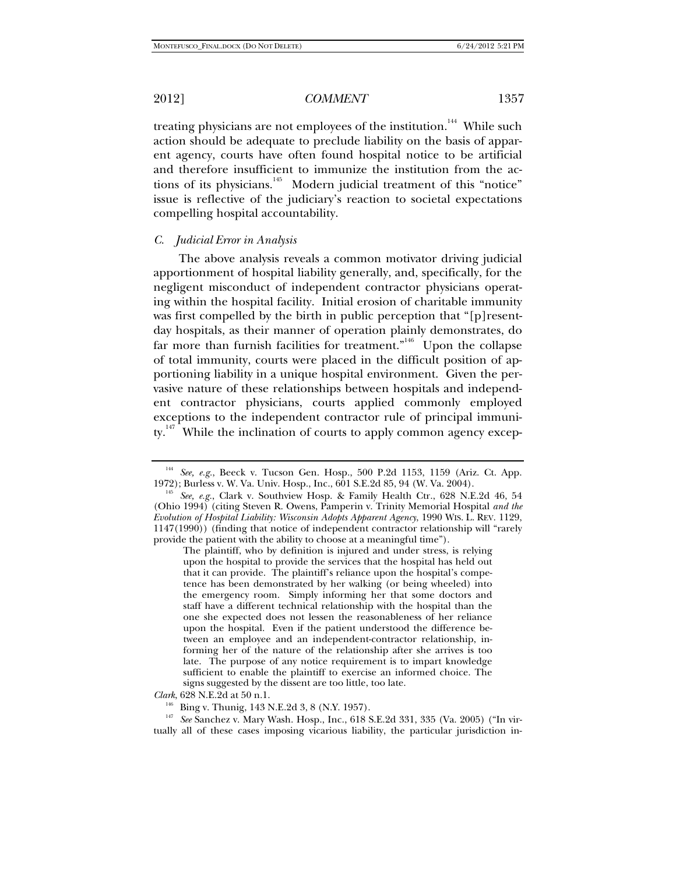treating physicians are not employees of the institution.<sup>144</sup> While such action should be adequate to preclude liability on the basis of apparent agency, courts have often found hospital notice to be artificial and therefore insufficient to immunize the institution from the actions of its physicians.<sup>145</sup> Modern judicial treatment of this "notice" issue is reflective of the judiciary's reaction to societal expectations compelling hospital accountability.

## *C. Judicial Error in Analysis*

The above analysis reveals a common motivator driving judicial apportionment of hospital liability generally, and, specifically, for the negligent misconduct of independent contractor physicians operating within the hospital facility. Initial erosion of charitable immunity was first compelled by the birth in public perception that "[p]resentday hospitals, as their manner of operation plainly demonstrates, do far more than furnish facilities for treatment. $n^{146}$  Upon the collapse of total immunity, courts were placed in the difficult position of apportioning liability in a unique hospital environment. Given the pervasive nature of these relationships between hospitals and independent contractor physicians, courts applied commonly employed exceptions to the independent contractor rule of principal immunity. $147$  While the inclination of courts to apply common agency excep-

<sup>&</sup>lt;sup>144</sup> See, e.g., Beeck v. Tucson Gen. Hosp., 500 P.2d 1153, 1159 (Ariz. Ct. App. 1972); Burless v. W. Va. Univ. Hosp., Inc., 601 S.E.2d 85, 94 (W. Va. 2004).

<sup>&</sup>lt;sup>145</sup> See, e.g., Clark v. Southview Hosp. & Family Health Ctr., 628 N.E.2d 46, 54 (Ohio 1994) (citing Steven R. Owens, Pamperin v. Trinity Memorial Hospital *and the Evolution of Hospital Liability: Wisconsin Adopts Apparent Agency*, 1990 WIS. L. REV. 1129, 1147(1990)) (finding that notice of independent contractor relationship will "rarely provide the patient with the ability to choose at a meaningful time").

The plaintiff, who by definition is injured and under stress, is relying upon the hospital to provide the services that the hospital has held out that it can provide. The plaintiff's reliance upon the hospital's competence has been demonstrated by her walking (or being wheeled) into the emergency room. Simply informing her that some doctors and staff have a different technical relationship with the hospital than the one she expected does not lessen the reasonableness of her reliance upon the hospital. Even if the patient understood the difference between an employee and an independent-contractor relationship, informing her of the nature of the relationship after she arrives is too late. The purpose of any notice requirement is to impart knowledge sufficient to enable the plaintiff to exercise an informed choice. The signs suggested by the dissent are too little, too late.

*Clark*, 628 N.E.2d at 50 n.1. 146 Bing v. Thunig, 143 N.E.2d 3, 8 (N.Y. 1957). 147 *See* Sanchez v. Mary Wash. Hosp., Inc., 618 S.E.2d 331, 335 (Va. 2005) ("In virtually all of these cases imposing vicarious liability, the particular jurisdiction in-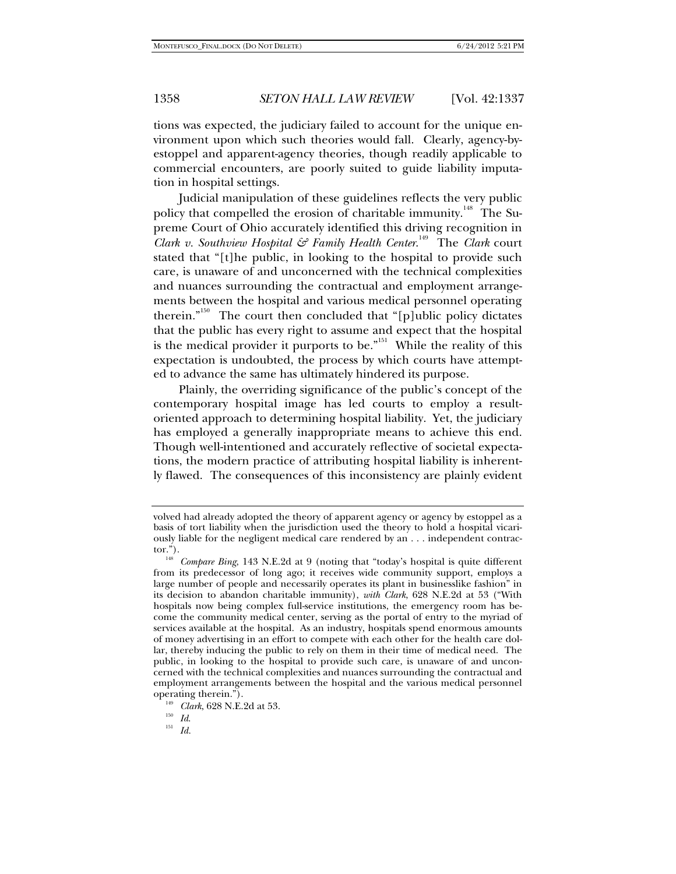tions was expected, the judiciary failed to account for the unique environment upon which such theories would fall. Clearly, agency-byestoppel and apparent-agency theories, though readily applicable to commercial encounters, are poorly suited to guide liability imputation in hospital settings.

Judicial manipulation of these guidelines reflects the very public policy that compelled the erosion of charitable immunity.<sup>148</sup> The Supreme Court of Ohio accurately identified this driving recognition in *Clark v. Southview Hospital & Family Health Center*. 149 The *Clark* court stated that "[t]he public, in looking to the hospital to provide such care, is unaware of and unconcerned with the technical complexities and nuances surrounding the contractual and employment arrangements between the hospital and various medical personnel operating therein."<sup>150</sup> The court then concluded that "[p]ublic policy dictates that the public has every right to assume and expect that the hospital is the medical provider it purports to be."<sup>151</sup> While the reality of this expectation is undoubted, the process by which courts have attempted to advance the same has ultimately hindered its purpose.

Plainly, the overriding significance of the public's concept of the contemporary hospital image has led courts to employ a resultoriented approach to determining hospital liability. Yet, the judiciary has employed a generally inappropriate means to achieve this end. Though well-intentioned and accurately reflective of societal expectations, the modern practice of attributing hospital liability is inherently flawed. The consequences of this inconsistency are plainly evident

volved had already adopted the theory of apparent agency or agency by estoppel as a basis of tort liability when the jurisdiction used the theory to hold a hospital vicariously liable for the negligent medical care rendered by an  $\dots$  independent contractor.").

<sup>&</sup>lt;sup>148</sup> Compare Bing, 143 N.E.2d at 9 (noting that "today's hospital is quite different from its predecessor of long ago; it receives wide community support, employs a large number of people and necessarily operates its plant in businesslike fashion" in its decision to abandon charitable immunity), *with Clark*, 628 N.E.2d at 53 ("With hospitals now being complex full-service institutions, the emergency room has become the community medical center, serving as the portal of entry to the myriad of services available at the hospital. As an industry, hospitals spend enormous amounts of money advertising in an effort to compete with each other for the health care dollar, thereby inducing the public to rely on them in their time of medical need. The public, in looking to the hospital to provide such care, is unaware of and unconcerned with the technical complexities and nuances surrounding the contractual and employment arrangements between the hospital and the various medical personnel

<sup>&</sup>lt;sup>149</sup> *Clark*, 628 N.E.2d at 53.<br><sup>150</sup> *Id. II. Id.*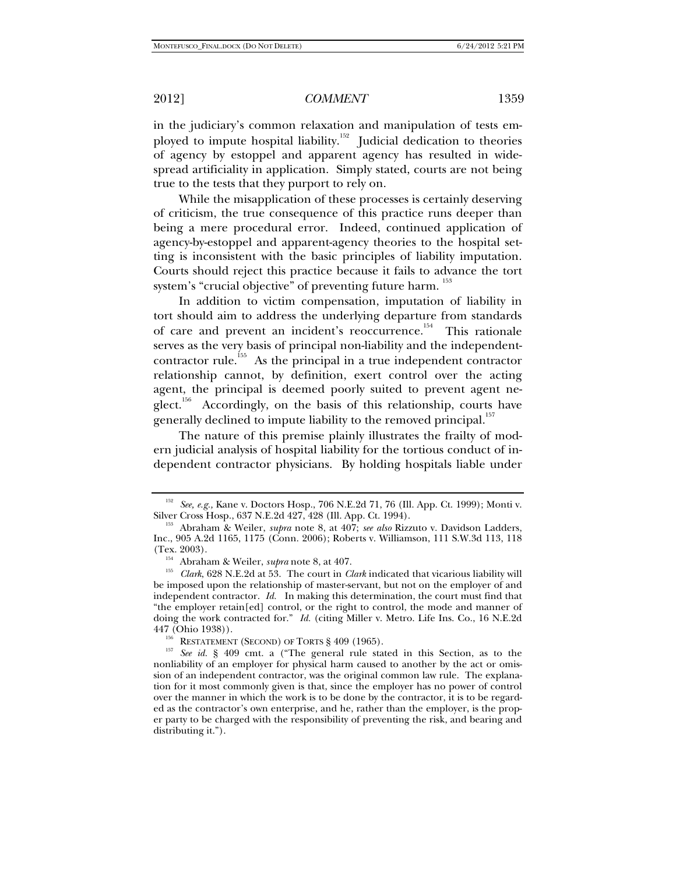in the judiciary's common relaxation and manipulation of tests employed to impute hospital liability.<sup>152</sup> Judicial dedication to theories of agency by estoppel and apparent agency has resulted in widespread artificiality in application. Simply stated, courts are not being true to the tests that they purport to rely on.

While the misapplication of these processes is certainly deserving of criticism, the true consequence of this practice runs deeper than being a mere procedural error. Indeed, continued application of agency-by-estoppel and apparent-agency theories to the hospital setting is inconsistent with the basic principles of liability imputation. Courts should reject this practice because it fails to advance the tort system's "crucial objective" of preventing future harm.  $^{153}$ 

In addition to victim compensation, imputation of liability in tort should aim to address the underlying departure from standards of care and prevent an incident's reoccurrence.<sup>154</sup> This rationale serves as the very basis of principal non-liability and the independentcontractor rule.<sup>155</sup> As the principal in a true independent contractor relationship cannot, by definition, exert control over the acting agent, the principal is deemed poorly suited to prevent agent ne $g$ lect.<sup>156</sup> Accordingly, on the basis of this relationship, courts have generally declined to impute liability to the removed principal.<sup>157</sup>

The nature of this premise plainly illustrates the frailty of modern judicial analysis of hospital liability for the tortious conduct of independent contractor physicians. By holding hospitals liable under

<sup>&</sup>lt;sup>152</sup> See, e.g., Kane v. Doctors Hosp., 706 N.E.2d 71, 76 (Ill. App. Ct. 1999); Monti v. Silver Cross Hosp., 637 N.E.2d 427, 428 (Ill. App. Ct. 1994).

<sup>&</sup>lt;sup>153</sup> Abraham & Weiler, *supra* note 8, at 407; *see also* Rizzuto v. Davidson Ladders, Inc., 905 A.2d 1165, 1175 (Conn. 2006); Roberts v. Williamson, 111 S.W.3d 113, 118

<sup>&</sup>lt;sup>154</sup> Abraham & Weiler, *supra* note 8, at 407.<br><sup>155</sup> *Clark*, 628 N.E.2d at 53. The court in *Clark* indicated that vicarious liability will be imposed upon the relationship of master-servant, but not on the employer of and independent contractor. *Id.* In making this determination, the court must find that "the employer retain[ed] control, or the right to control, the mode and manner of doing the work contracted for." *Id.* (citing Miller v. Metro. Life Ins. Co., 16 N.E.2d 447 (Ohio 1938)).

<sup>&</sup>lt;sup>156</sup> RESTATEMENT (SECOND) OF TORTS § 409 (1965).<br><sup>157</sup> See id. § 409 cmt. a ("The general rule stated in this Section, as to the nonliability of an employer for physical harm caused to another by the act or omission of an independent contractor, was the original common law rule. The explanation for it most commonly given is that, since the employer has no power of control over the manner in which the work is to be done by the contractor, it is to be regarded as the contractor's own enterprise, and he, rather than the employer, is the proper party to be charged with the responsibility of preventing the risk, and bearing and distributing it.").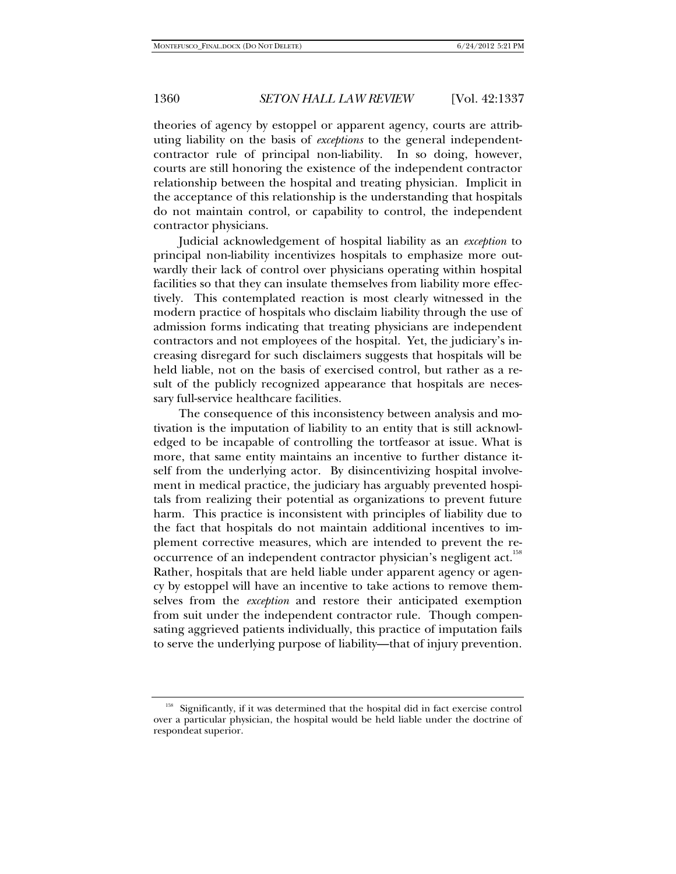theories of agency by estoppel or apparent agency, courts are attributing liability on the basis of *exceptions* to the general independentcontractor rule of principal non-liability. In so doing, however, courts are still honoring the existence of the independent contractor relationship between the hospital and treating physician. Implicit in the acceptance of this relationship is the understanding that hospitals do not maintain control, or capability to control, the independent contractor physicians.

Judicial acknowledgement of hospital liability as an *exception* to principal non-liability incentivizes hospitals to emphasize more outwardly their lack of control over physicians operating within hospital facilities so that they can insulate themselves from liability more effectively. This contemplated reaction is most clearly witnessed in the modern practice of hospitals who disclaim liability through the use of admission forms indicating that treating physicians are independent contractors and not employees of the hospital. Yet, the judiciary's increasing disregard for such disclaimers suggests that hospitals will be held liable, not on the basis of exercised control, but rather as a result of the publicly recognized appearance that hospitals are necessary full-service healthcare facilities.

The consequence of this inconsistency between analysis and motivation is the imputation of liability to an entity that is still acknowledged to be incapable of controlling the tortfeasor at issue. What is more, that same entity maintains an incentive to further distance itself from the underlying actor. By disincentivizing hospital involvement in medical practice, the judiciary has arguably prevented hospitals from realizing their potential as organizations to prevent future harm. This practice is inconsistent with principles of liability due to the fact that hospitals do not maintain additional incentives to implement corrective measures, which are intended to prevent the reoccurrence of an independent contractor physician's negligent act.<sup>158</sup> Rather, hospitals that are held liable under apparent agency or agency by estoppel will have an incentive to take actions to remove themselves from the *exception* and restore their anticipated exemption from suit under the independent contractor rule. Though compensating aggrieved patients individually, this practice of imputation fails to serve the underlying purpose of liability—that of injury prevention.

<sup>&</sup>lt;sup>158</sup> Significantly, if it was determined that the hospital did in fact exercise control over a particular physician, the hospital would be held liable under the doctrine of respondeat superior.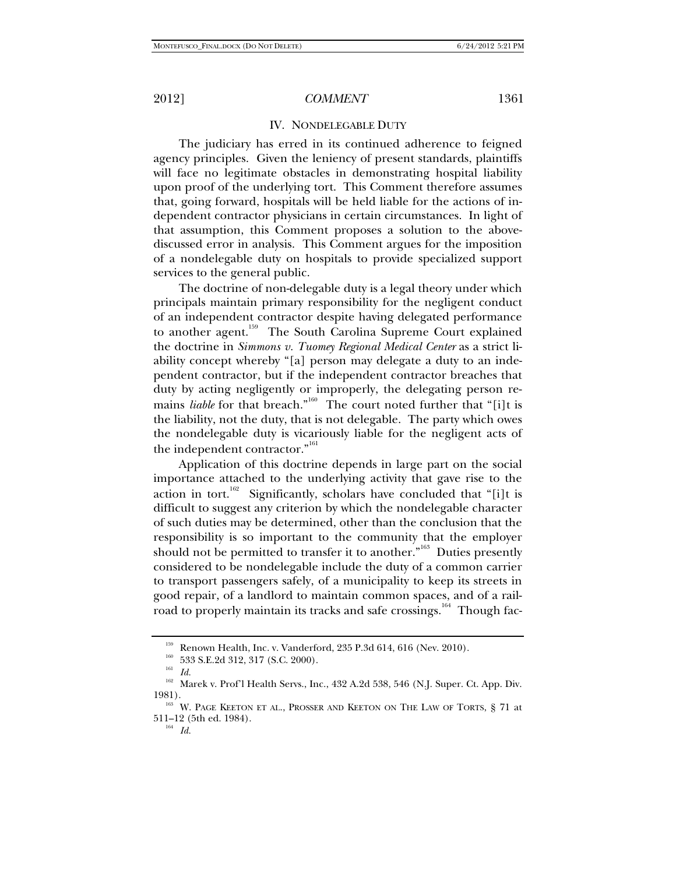## IV. NONDELEGABLE DUTY

The judiciary has erred in its continued adherence to feigned agency principles. Given the leniency of present standards, plaintiffs will face no legitimate obstacles in demonstrating hospital liability upon proof of the underlying tort. This Comment therefore assumes that, going forward, hospitals will be held liable for the actions of independent contractor physicians in certain circumstances. In light of that assumption, this Comment proposes a solution to the abovediscussed error in analysis. This Comment argues for the imposition of a nondelegable duty on hospitals to provide specialized support services to the general public.

The doctrine of non-delegable duty is a legal theory under which principals maintain primary responsibility for the negligent conduct of an independent contractor despite having delegated performance to another agent.<sup>159</sup> The South Carolina Supreme Court explained the doctrine in *Simmons v. Tuomey Regional Medical Center* as a strict liability concept whereby "[a] person may delegate a duty to an independent contractor, but if the independent contractor breaches that duty by acting negligently or improperly, the delegating person remains *liable* for that breach.<sup>"160</sup> The court noted further that "[i]t is the liability, not the duty, that is not delegable. The party which owes the nondelegable duty is vicariously liable for the negligent acts of the independent contractor."<sup>161</sup>

Application of this doctrine depends in large part on the social importance attached to the underlying activity that gave rise to the action in tort.<sup>162</sup> Significantly, scholars have concluded that "[i]t is difficult to suggest any criterion by which the nondelegable character of such duties may be determined, other than the conclusion that the responsibility is so important to the community that the employer should not be permitted to transfer it to another.<sup>"163</sup> Duties presently considered to be nondelegable include the duty of a common carrier to transport passengers safely, of a municipality to keep its streets in good repair, of a landlord to maintain common spaces, and of a railroad to properly maintain its tracks and safe crossings.<sup>164</sup> Though fac-

<sup>&</sup>lt;sup>159</sup> Renown Health, Inc. v. Vanderford, 235 P.3d 614, 616 (Nev. 2010).<br><sup>160</sup> 533 S.E.2d 312, 317 (S.C. 2000).<br><sup>161</sup> *Id.* 

 $^{162}\,$  Marek v. Prof'l Health Servs., Inc., 432 A.2d 538, 546 (N.J. Super. Ct. App. Div. 1981). 163 W. PAGE KEETON ET AL., PROSSER AND KEETON ON THE LAW OF TORTS, § 71 at

<sup>511–12 (5</sup>th ed. 1984). 164 *Id.*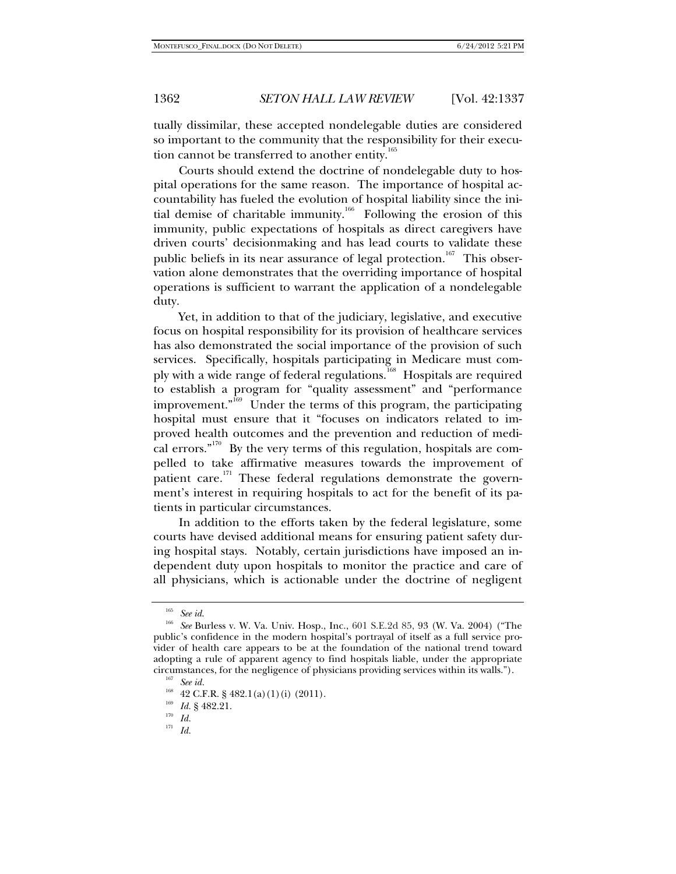tually dissimilar, these accepted nondelegable duties are considered so important to the community that the responsibility for their execution cannot be transferred to another entity.<sup>165</sup>

Courts should extend the doctrine of nondelegable duty to hospital operations for the same reason. The importance of hospital accountability has fueled the evolution of hospital liability since the initial demise of charitable immunity.<sup>166</sup> Following the erosion of this immunity, public expectations of hospitals as direct caregivers have driven courts' decisionmaking and has lead courts to validate these public beliefs in its near assurance of legal protection.<sup>167</sup> This observation alone demonstrates that the overriding importance of hospital operations is sufficient to warrant the application of a nondelegable duty.

Yet, in addition to that of the judiciary, legislative, and executive focus on hospital responsibility for its provision of healthcare services has also demonstrated the social importance of the provision of such services. Specifically, hospitals participating in Medicare must comply with a wide range of federal regulations.<sup>168</sup> Hospitals are required to establish a program for "quality assessment" and "performance improvement." $\overline{1}^{169}$  Under the terms of this program, the participating hospital must ensure that it "focuses on indicators related to improved health outcomes and the prevention and reduction of medical errors."<sup>170</sup> By the very terms of this regulation, hospitals are compelled to take affirmative measures towards the improvement of patient care.<sup>171</sup> These federal regulations demonstrate the government's interest in requiring hospitals to act for the benefit of its patients in particular circumstances.

In addition to the efforts taken by the federal legislature, some courts have devised additional means for ensuring patient safety during hospital stays. Notably, certain jurisdictions have imposed an independent duty upon hospitals to monitor the practice and care of all physicians, which is actionable under the doctrine of negligent

<sup>171</sup> *Id.* 

<sup>165</sup> *See id*. 166 *See* Burless v. W. Va. Univ. Hosp., Inc., 601 S.E.2d 85, 93 (W. Va. 2004) ("The public's confidence in the modern hospital's portrayal of itself as a full service provider of health care appears to be at the foundation of the national trend toward adopting a rule of apparent agency to find hospitals liable, under the appropriate circumstances, for the negligence of physicians providing services within its walls."). See id.

<sup>1&</sup>lt;sup>68</sup> 42 C.F.R. § 482.1(a)(1)(i) (2011).<br>
<sup>169</sup> *Id.* § 482.21.<br>
<sup>170</sup> *Id.*<br>
<sup>171</sup> *Id.*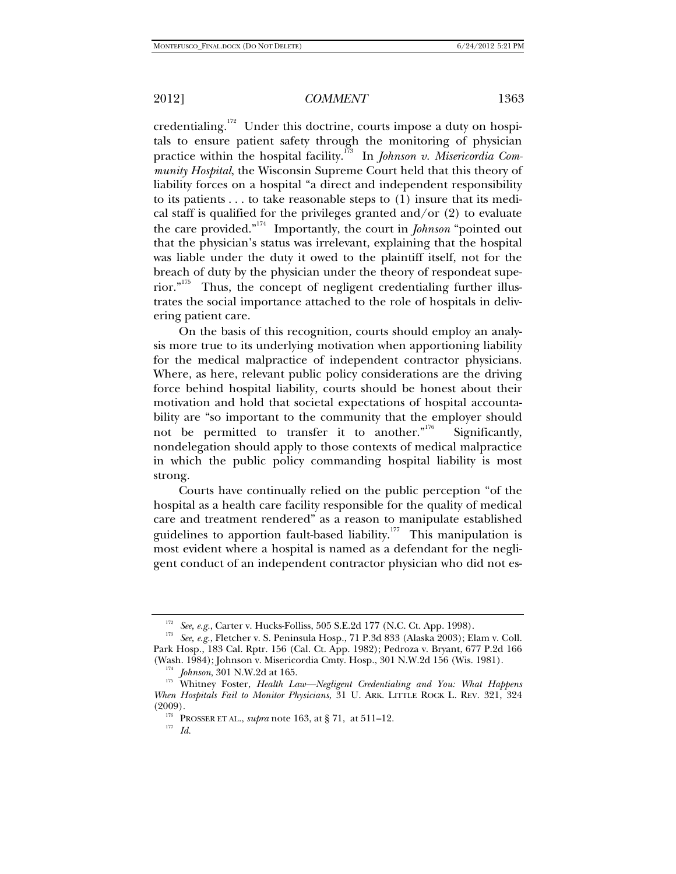credentialing.<sup>172</sup> Under this doctrine, courts impose a duty on hospitals to ensure patient safety through the monitoring of physician practice within the hospital facility.<sup>173</sup> In *Johnson v. Misericordia Community Hospital*, the Wisconsin Supreme Court held that this theory of liability forces on a hospital "a direct and independent responsibility to its patients . . . to take reasonable steps to (1) insure that its medical staff is qualified for the privileges granted and/or  $(2)$  to evaluate the care provided."174 Importantly, the court in *Johnson* "pointed out that the physician's status was irrelevant, explaining that the hospital was liable under the duty it owed to the plaintiff itself, not for the breach of duty by the physician under the theory of respondeat superior."175 Thus, the concept of negligent credentialing further illustrates the social importance attached to the role of hospitals in delivering patient care.

On the basis of this recognition, courts should employ an analysis more true to its underlying motivation when apportioning liability for the medical malpractice of independent contractor physicians. Where, as here, relevant public policy considerations are the driving force behind hospital liability, courts should be honest about their motivation and hold that societal expectations of hospital accountability are "so important to the community that the employer should not be permitted to transfer it to another."<sup>176</sup> Significantly, nondelegation should apply to those contexts of medical malpractice in which the public policy commanding hospital liability is most strong.

Courts have continually relied on the public perception "of the hospital as a health care facility responsible for the quality of medical care and treatment rendered" as a reason to manipulate established guidelines to apportion fault-based liability.<sup>177</sup> This manipulation is most evident where a hospital is named as a defendant for the negligent conduct of an independent contractor physician who did not es-

<sup>172</sup> *See, e.g.*, Carter v. Hucks-Folliss, 505 S.E.2d 177 (N.C. Ct. App. 1998). 173 *See, e.g.*, Fletcher v. S. Peninsula Hosp., 71 P.3d 833 (Alaska 2003); Elam v. Coll. Park Hosp., 183 Cal. Rptr. 156 (Cal. Ct. App. 1982); Pedroza v. Bryant, 677 P.2d 166

<sup>&</sup>lt;sup>174</sup> Johnson, 301 N.W.2d at 165.<br><sup>175</sup> Whitney Foster, *Health Law—Negligent Credentialing and You: What Happens When Hospitals Fail to Monitor Physicians*, 31 U. ARK. LITTLE ROCK L. REV. 321, 324

<sup>&</sup>lt;sup>176</sup> PROSSER ET AL., *supra* note 163, at § 71, at 511–12.<br><sup>177</sup> *Id*.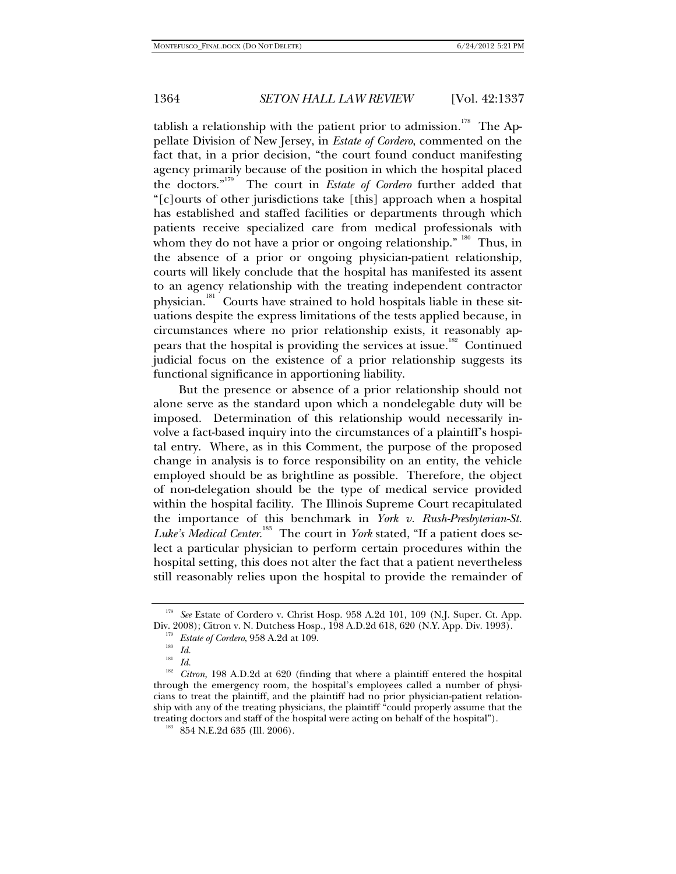tablish a relationship with the patient prior to admission.<sup>178</sup> The Appellate Division of New Jersey, in *Estate of Cordero*, commented on the fact that, in a prior decision, "the court found conduct manifesting agency primarily because of the position in which the hospital placed the doctors."179 The court in *Estate of Cordero* further added that "[c]ourts of other jurisdictions take [this] approach when a hospital has established and staffed facilities or departments through which patients receive specialized care from medical professionals with whom they do not have a prior or ongoing relationship."  $180^\circ$  Thus, in the absence of a prior or ongoing physician-patient relationship, courts will likely conclude that the hospital has manifested its assent to an agency relationship with the treating independent contractor physician.<sup>181</sup> Courts have strained to hold hospitals liable in these situations despite the express limitations of the tests applied because, in circumstances where no prior relationship exists, it reasonably appears that the hospital is providing the services at issue.<sup>182</sup> Continued judicial focus on the existence of a prior relationship suggests its functional significance in apportioning liability.

But the presence or absence of a prior relationship should not alone serve as the standard upon which a nondelegable duty will be imposed. Determination of this relationship would necessarily involve a fact-based inquiry into the circumstances of a plaintiff's hospital entry. Where, as in this Comment, the purpose of the proposed change in analysis is to force responsibility on an entity, the vehicle employed should be as brightline as possible. Therefore, the object of non-delegation should be the type of medical service provided within the hospital facility. The Illinois Supreme Court recapitulated the importance of this benchmark in *York v. Rush-Presbyterian-St.*  Luke's Medical Center.<sup>183</sup> The court in *York* stated, "If a patient does select a particular physician to perform certain procedures within the hospital setting, this does not alter the fact that a patient nevertheless still reasonably relies upon the hospital to provide the remainder of

<sup>&</sup>lt;sup>178</sup> See Estate of Cordero v. Christ Hosp. 958 A.2d 101, 109 (N.J. Super. Ct. App. Div. 2008); Citron v. N. Dutchess Hosp., 198 A.D.2d 618, 620 (N.Y. App. Div. 1993).

<sup>&</sup>lt;sup>179</sup> *Estate of Cordero*, 958 A.2d at 109.<br><sup>180</sup> *Id.*<br><sup>181</sup> *Id.*<br>*<sup>181</sup> Citron*, 198 A.D.2d at 620 (finding that where a plaintiff entered the hospital through the emergency room, the hospital's employees called a number of physicians to treat the plaintiff, and the plaintiff had no prior physician-patient relationship with any of the treating physicians, the plaintiff "could properly assume that the treating doctors and staff of the hospital were acting on behalf of the hospital"). 183 854 N.E.2d 635 (Ill. 2006).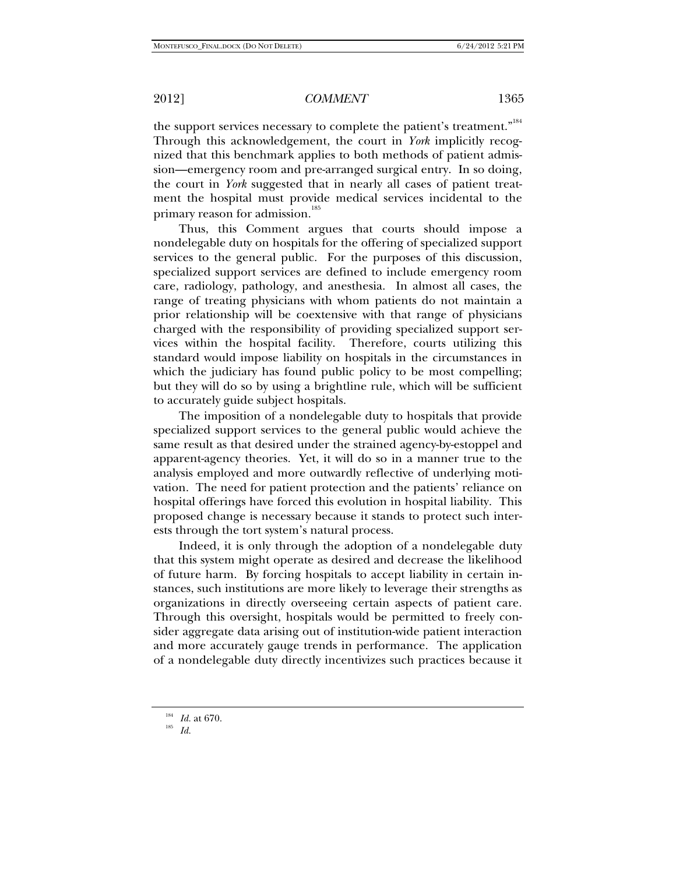the support services necessary to complete the patient's treatment."<sup>184</sup> Through this acknowledgement, the court in *York* implicitly recognized that this benchmark applies to both methods of patient admission—emergency room and pre-arranged surgical entry. In so doing, the court in *York* suggested that in nearly all cases of patient treatment the hospital must provide medical services incidental to the primary reason for admission.<sup>185</sup>

Thus, this Comment argues that courts should impose a nondelegable duty on hospitals for the offering of specialized support services to the general public. For the purposes of this discussion, specialized support services are defined to include emergency room care, radiology, pathology, and anesthesia. In almost all cases, the range of treating physicians with whom patients do not maintain a prior relationship will be coextensive with that range of physicians charged with the responsibility of providing specialized support services within the hospital facility. Therefore, courts utilizing this standard would impose liability on hospitals in the circumstances in which the judiciary has found public policy to be most compelling; but they will do so by using a brightline rule, which will be sufficient to accurately guide subject hospitals.

The imposition of a nondelegable duty to hospitals that provide specialized support services to the general public would achieve the same result as that desired under the strained agency-by-estoppel and apparent-agency theories. Yet, it will do so in a manner true to the analysis employed and more outwardly reflective of underlying motivation. The need for patient protection and the patients' reliance on hospital offerings have forced this evolution in hospital liability. This proposed change is necessary because it stands to protect such interests through the tort system's natural process.

Indeed, it is only through the adoption of a nondelegable duty that this system might operate as desired and decrease the likelihood of future harm. By forcing hospitals to accept liability in certain instances, such institutions are more likely to leverage their strengths as organizations in directly overseeing certain aspects of patient care. Through this oversight, hospitals would be permitted to freely consider aggregate data arising out of institution-wide patient interaction and more accurately gauge trends in performance. The application of a nondelegable duty directly incentivizes such practices because it

<sup>184</sup> *Id.* at 670. 185 *Id.*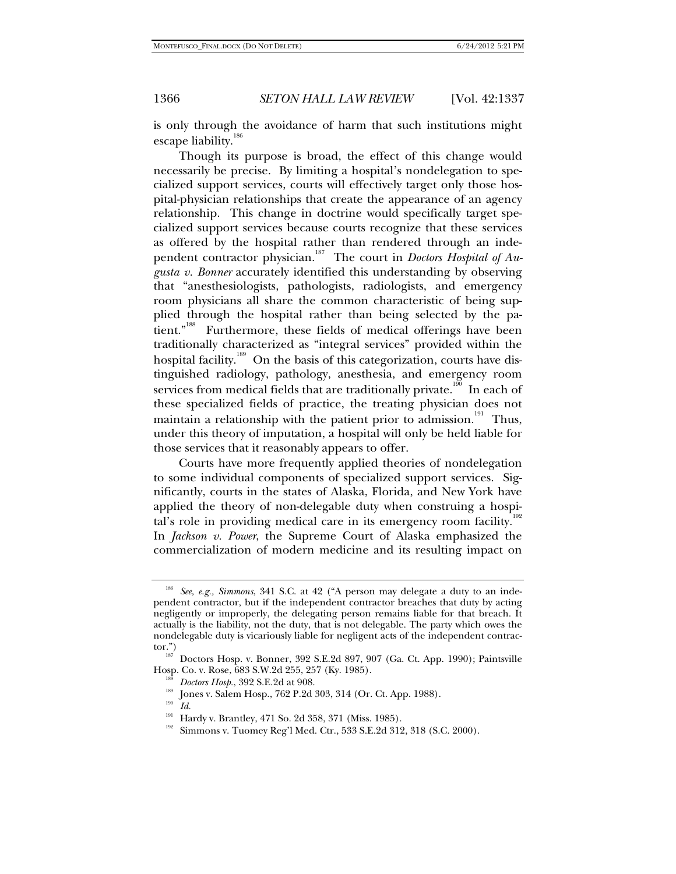is only through the avoidance of harm that such institutions might escape liability.<sup>186</sup>

Though its purpose is broad, the effect of this change would necessarily be precise. By limiting a hospital's nondelegation to specialized support services, courts will effectively target only those hospital-physician relationships that create the appearance of an agency relationship. This change in doctrine would specifically target specialized support services because courts recognize that these services as offered by the hospital rather than rendered through an independent contractor physician.<sup>187</sup> The court in *Doctors Hospital of Augusta v. Bonner* accurately identified this understanding by observing that "anesthesiologists, pathologists, radiologists, and emergency room physicians all share the common characteristic of being supplied through the hospital rather than being selected by the patient."<sup>188</sup> Furthermore, these fields of medical offerings have been traditionally characterized as "integral services" provided within the hospital facility.<sup>189</sup> On the basis of this categorization, courts have distinguished radiology, pathology, anesthesia, and emergency room services from medical fields that are traditionally private.<sup>190</sup> In each of these specialized fields of practice, the treating physician does not maintain a relationship with the patient prior to admission.<sup>191</sup> Thus, under this theory of imputation, a hospital will only be held liable for those services that it reasonably appears to offer.

Courts have more frequently applied theories of nondelegation to some individual components of specialized support services. Significantly, courts in the states of Alaska, Florida, and New York have applied the theory of non-delegable duty when construing a hospital's role in providing medical care in its emergency room facility.<sup>19</sup> In *Jackson v. Power*, the Supreme Court of Alaska emphasized the commercialization of modern medicine and its resulting impact on

<sup>186</sup> *See, e.g., Simmons*, 341 S.C. at 42 ("A person may delegate a duty to an independent contractor, but if the independent contractor breaches that duty by acting negligently or improperly, the delegating person remains liable for that breach. It actually is the liability, not the duty, that is not delegable. The party which owes the nondelegable duty is vicariously liable for negligent acts of the independent contrac-

tor.")<br><sup>187</sup> Doctors Hosp. v. Bonner, 392 S.E.2d 897, 907 (Ga. Ct. App. 1990); Paintsville<br>Hosp. Co. v. Rose, 683 S.W.2d 255, 257 (Kv. 1985).

<sup>&</sup>lt;sup>188</sup> *Doctors Hosp.*, 392 S.E.2d at 908.<br><sup>189</sup> Jones v. Salem Hosp., 762 P.2d 303, 314 (Or. Ct. App. 1988).<br><sup>190</sup> *Id.* 

<sup>&</sup>lt;sup>191</sup> Hardy v. Brantley, 471 So. 2d 358, 371 (Miss. 1985).<br><sup>192</sup> Simmons v. Tuomey Reg'l Med. Ctr., 533 S.E.2d 312, 318 (S.C. 2000).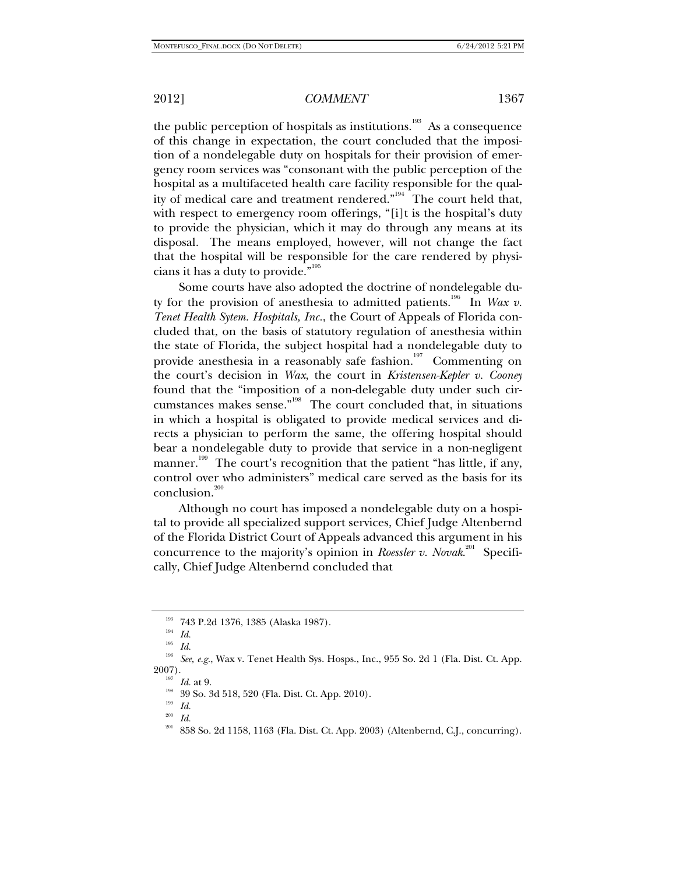the public perception of hospitals as institutions.<sup>193</sup> As a consequence of this change in expectation, the court concluded that the imposition of a nondelegable duty on hospitals for their provision of emergency room services was "consonant with the public perception of the hospital as a multifaceted health care facility responsible for the quality of medical care and treatment rendered."<sup>194</sup> The court held that, with respect to emergency room offerings, "[i]t is the hospital's duty to provide the physician, which it may do through any means at its disposal. The means employed, however, will not change the fact that the hospital will be responsible for the care rendered by physi-

cians it has a duty to provide."<sup>195</sup> Some courts have also adopted the doctrine of nondelegable duty for the provision of anesthesia to admitted patients.<sup>196</sup> In *Wax v*. *Tenet Health Sytem. Hospitals, Inc.*, the Court of Appeals of Florida concluded that, on the basis of statutory regulation of anesthesia within the state of Florida, the subject hospital had a nondelegable duty to provide anesthesia in a reasonably safe fashion.<sup>197</sup> Commenting on the court's decision in *Wax*, the court in *Kristensen-Kepler v. Cooney* found that the "imposition of a non-delegable duty under such circumstances makes sense."198 The court concluded that, in situations in which a hospital is obligated to provide medical services and directs a physician to perform the same, the offering hospital should bear a nondelegable duty to provide that service in a non-negligent manner.<sup>199</sup> The court's recognition that the patient "has little, if any, control over who administers" medical care served as the basis for its conclusion.<sup>200</sup>

Although no court has imposed a nondelegable duty on a hospital to provide all specialized support services, Chief Judge Altenbernd of the Florida District Court of Appeals advanced this argument in his concurrence to the majority's opinion in *Roessler v. Novak*.<sup>201</sup> Specifically, Chief Judge Altenbernd concluded that

<sup>193 743</sup> P.2d 1376, 1385 (Alaska 1987). 194 *Id.*

<sup>195</sup> *Id.* 

 $196$  *See, e.g.*, Wax v. Tenet Health Sys. Hosps., Inc., 955 So. 2d 1 (Fla. Dist. Ct. App. 2007).

<sup>&</sup>lt;sup>197</sup> *Id.* at 9.<br><sup>198</sup> 39 So. 3d 518, 520 (Fla. Dist. Ct. App. 2010).<br><sup>199</sup> *Id.* 

 $\frac{200}{201}$  *Id.* 

<sup>858</sup> So. 2d 1158, 1163 (Fla. Dist. Ct. App. 2003) (Altenbernd, C.J., concurring).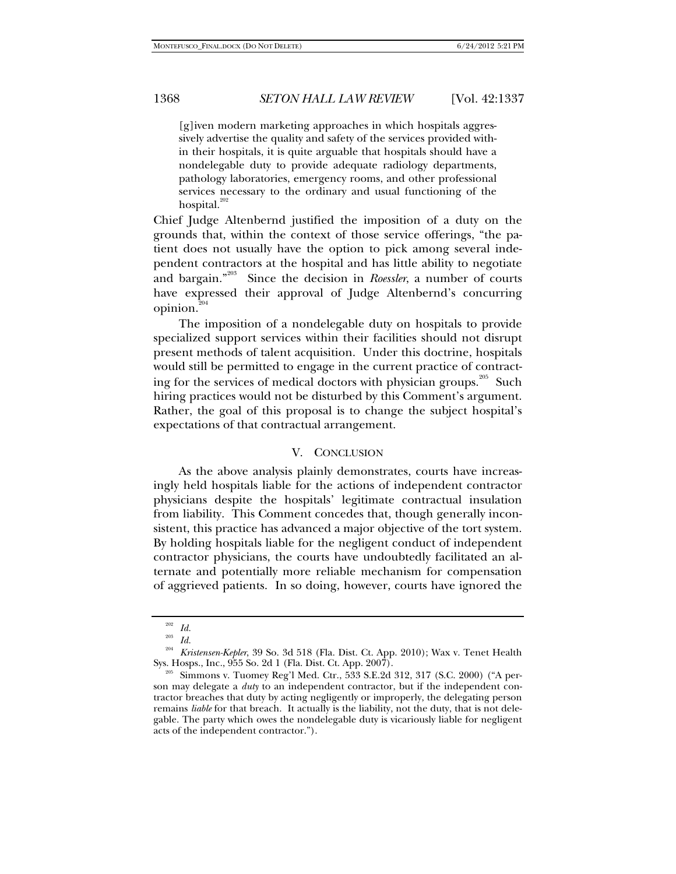[g]iven modern marketing approaches in which hospitals aggressively advertise the quality and safety of the services provided within their hospitals, it is quite arguable that hospitals should have a nondelegable duty to provide adequate radiology departments, pathology laboratories, emergency rooms, and other professional services necessary to the ordinary and usual functioning of the hospital. $20$ 

Chief Judge Altenbernd justified the imposition of a duty on the grounds that, within the context of those service offerings, "the patient does not usually have the option to pick among several independent contractors at the hospital and has little ability to negotiate and bargain."<sup>203</sup> Since the decision in *Roessler*, a number of courts have expressed their approval of Judge Altenbernd's concurring opinion.<sup>204</sup>

The imposition of a nondelegable duty on hospitals to provide specialized support services within their facilities should not disrupt present methods of talent acquisition. Under this doctrine, hospitals would still be permitted to engage in the current practice of contracting for the services of medical doctors with physician groups.<sup>205</sup> Such hiring practices would not be disturbed by this Comment's argument. Rather, the goal of this proposal is to change the subject hospital's expectations of that contractual arrangement.

## V. CONCLUSION

As the above analysis plainly demonstrates, courts have increasingly held hospitals liable for the actions of independent contractor physicians despite the hospitals' legitimate contractual insulation from liability. This Comment concedes that, though generally inconsistent, this practice has advanced a major objective of the tort system. By holding hospitals liable for the negligent conduct of independent contractor physicians, the courts have undoubtedly facilitated an alternate and potentially more reliable mechanism for compensation of aggrieved patients. In so doing, however, courts have ignored the

 $\frac{202}{203}$  *Id.* 

*Id.* 

<sup>204</sup> *Kristensen-Kepler*, 39 So. 3d 518 (Fla. Dist. Ct. App. 2010); Wax v. Tenet Health Sys. Hosps., Inc., 955 So. 2d 1 (Fla. Dist. Ct. App. 2007). 205 Simmons v. Tuomey Reg'l Med. Ctr., 533 S.E.2d 312, 317 (S.C. 2000) ("A per-

son may delegate a *duty* to an independent contractor, but if the independent contractor breaches that duty by acting negligently or improperly, the delegating person remains *liable* for that breach. It actually is the liability, not the duty, that is not delegable. The party which owes the nondelegable duty is vicariously liable for negligent acts of the independent contractor.").